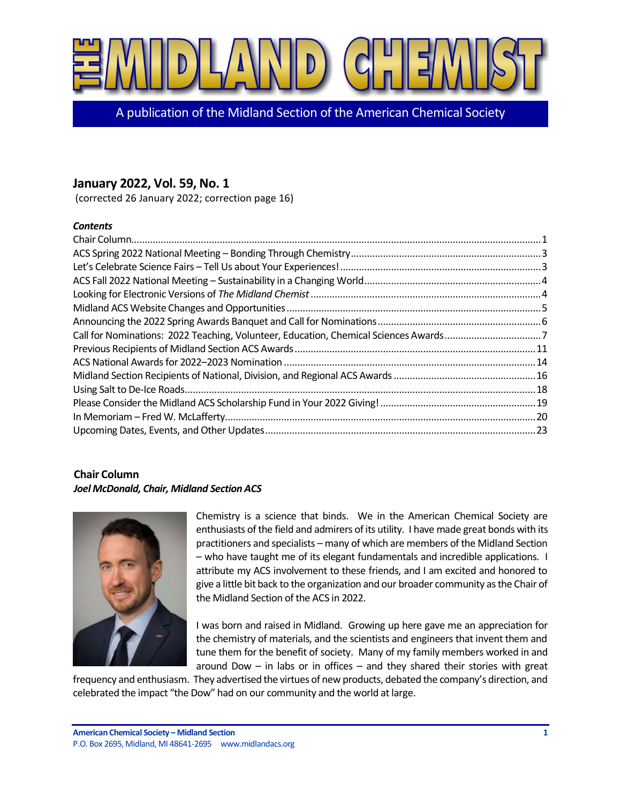

A publication of the Midland Section of the American Chemical Society

# **January 2022, Vol. 59, No. 1**

(corrected 26 January 2022; correction page 16)

## *Contents*

| Call for Nominations: 2022 Teaching, Volunteer, Education, Chemical Sciences Awards7 |  |
|--------------------------------------------------------------------------------------|--|
|                                                                                      |  |
|                                                                                      |  |
|                                                                                      |  |
|                                                                                      |  |
|                                                                                      |  |
|                                                                                      |  |
|                                                                                      |  |
|                                                                                      |  |

# <span id="page-0-0"></span>**Chair Column**

# *Joel McDonald, Chair, Midland Section ACS*



Chemistry is a science that binds. We in the American Chemical Society are enthusiasts of the field and admirers of its utility. I have made great bonds with its practitioners and specialists – many of which are members of the Midland Section – who have taught me of its elegant fundamentals and incredible applications. I attribute my ACS involvement to these friends, and I am excited and honored to give a little bit back to the organization and our broader community as the Chair of the Midland Section of the ACS in 2022.

I was born and raised in Midland. Growing up here gave me an appreciation for the chemistry of materials, and the scientists and engineers that invent them and tune them for the benefit of society. Many of my family members worked in and around Dow  $-$  in labs or in offices  $-$  and they shared their stories with great

frequency and enthusiasm. They advertised the virtues of new products, debated the company's direction, and celebrated the impact "the Dow" had on our community and the world at large.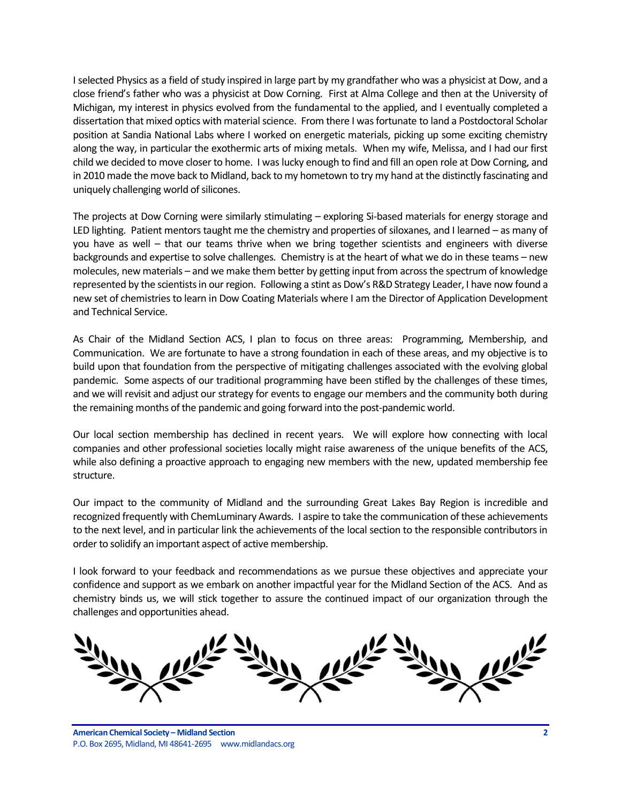I selected Physics as a field of study inspired in large part by my grandfather who was a physicist at Dow, and a close friend's father who was a physicist at Dow Corning. First at Alma College and then at the University of Michigan, my interest in physics evolved from the fundamental to the applied, and I eventually completed a dissertation that mixed optics with material science. From there I was fortunate to land a Postdoctoral Scholar position at Sandia National Labs where I worked on energetic materials, picking up some exciting chemistry along the way, in particular the exothermic arts of mixing metals. When my wife, Melissa, and I had our first child we decided to move closer to home. I was lucky enough to find and fill an open role at Dow Corning, and in 2010 made the move back to Midland, back to my hometown to try my hand at the distinctly fascinating and uniquely challenging world of silicones.

The projects at Dow Corning were similarly stimulating – exploring Si-based materials for energy storage and LED lighting. Patient mentors taught me the chemistry and properties of siloxanes, and I learned – as many of you have as well – that our teams thrive when we bring together scientists and engineers with diverse backgrounds and expertise to solve challenges. Chemistry is at the heart of what we do in these teams – new molecules, new materials – and we make them better by getting input from across the spectrum of knowledge represented by the scientists in our region. Following a stint as Dow's R&D Strategy Leader, I have now found a new set of chemistries to learn in Dow Coating Materials where I am the Director of Application Development and Technical Service.

As Chair of the Midland Section ACS, I plan to focus on three areas: Programming, Membership, and Communication. We are fortunate to have a strong foundation in each of these areas, and my objective is to build upon that foundation from the perspective of mitigating challenges associated with the evolving global pandemic. Some aspects of our traditional programming have been stifled by the challenges of these times, and we will revisit and adjust our strategy for events to engage our members and the community both during the remaining months of the pandemic and going forward into the post-pandemic world.

Our local section membership has declined in recent years. We will explore how connecting with local companies and other professional societies locally might raise awareness of the unique benefits of the ACS, while also defining a proactive approach to engaging new members with the new, updated membership fee structure.

Our impact to the community of Midland and the surrounding Great Lakes Bay Region is incredible and recognized frequently with ChemLuminary Awards. I aspire to take the communication of these achievements to the next level, and in particular link the achievements of the local section to the responsible contributors in order to solidify an important aspect of active membership.

I look forward to your feedback and recommendations as we pursue these objectives and appreciate your confidence and support as we embark on another impactful year for the Midland Section of the ACS. And as chemistry binds us, we will stick together to assure the continued impact of our organization through the challenges and opportunities ahead.

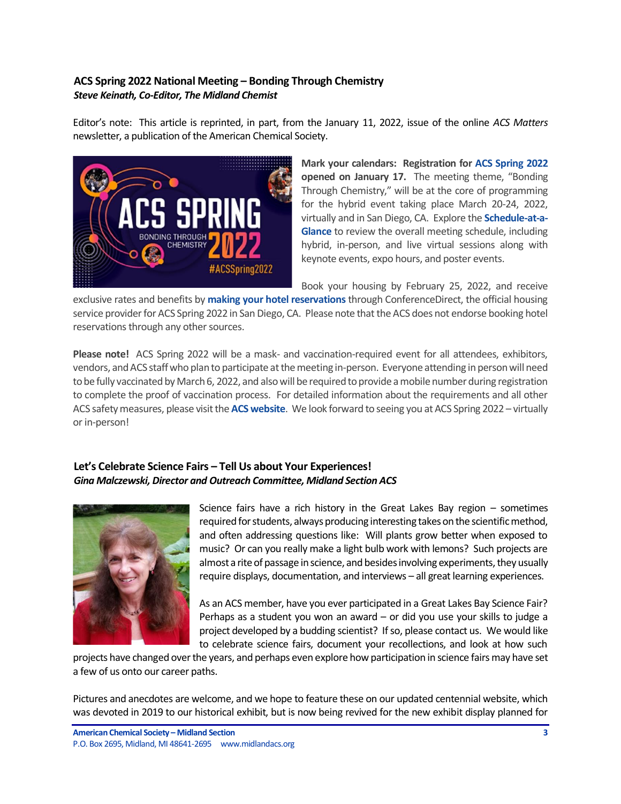# <span id="page-2-0"></span>**ACS Spring 2022 National Meeting – Bonding Through Chemistry** *Steve Keinath, Co-Editor, The Midland Chemist*

Editor's note: This article is reprinted, in part, from the January 11, 2022, issue of the online *ACS Matters* newsletter, a publication of the American Chemical Society.



**Mark your calendars: Registration for ACS [Spring](https://app.connect.discoveracs.org/e/er?s=341921710&lid=15174&elqTrackId=59378516175F098E18D078096E29CE94&elq=b3a103c7ed3c4cb0b6a44bd58f0e92a8&elqaid=4692&elqat=1) 2022 opened on January 17.** The meeting theme, "Bonding Through Chemistry," will be at the core of programming for the hybrid event taking place March 20-24, 2022, virtually and in San Diego, CA. Explore the **[Schedule-at-a-](https://app.connect.discoveracs.org/e/er?s=341921710&lid=15173&elqTrackId=5FDB65BA347AED7F8DCAAF7A3C36AD20&elq=b3a103c7ed3c4cb0b6a44bd58f0e92a8&elqaid=4692&elqat=1)[Glance](https://app.connect.discoveracs.org/e/er?s=341921710&lid=15173&elqTrackId=5FDB65BA347AED7F8DCAAF7A3C36AD20&elq=b3a103c7ed3c4cb0b6a44bd58f0e92a8&elqaid=4692&elqat=1)** to review the overall meeting schedule, including hybrid, in-person, and live virtual sessions along with keynote events, expo hours, and poster events.

Book your housing by February 25, 2022, and receive

exclusive rates and benefits by **making your hotel [reservations](https://app.connect.discoveracs.org/e/er?s=341921710&lid=15172&elqTrackId=B3547A6C5D99F04DFA3FF0458C2C804B&elq=b3a103c7ed3c4cb0b6a44bd58f0e92a8&elqaid=4692&elqat=1)**through ConferenceDirect, the official housing service provider for ACS Spring 2022 in San Diego, CA. Please note that the ACS does not endorse booking hotel reservations through any other sources.

**Please note!** ACS Spring 2022 will be a mask- and vaccination-required event for all attendees, exhibitors, vendors, and ACS staff who plan to participate at the meeting in-person. Everyone attending in person will need to be fully vaccinated by March 6, 2022, and also will be required to provide a mobile number during registration to complete the proof of vaccination process. For detailed information about the requirements and all other ACS safety measures, please visit the **[ACS website](https://app.connect.discoveracs.org/e/er?s=341921710&lid=15171&elqTrackId=85ECDD44B7C4B92434F2EE2A4EFAFAA1&elq=b3a103c7ed3c4cb0b6a44bd58f0e92a8&elqaid=4692&elqat=1)**. We look forward to seeing you at ACS Spring 2022 – virtually or in-person!

# <span id="page-2-1"></span>**Let's Celebrate Science Fairs – Tell Us about Your Experiences!** *Gina Malczewski, Director and Outreach Committee, Midland Section ACS*



Science fairs have a rich history in the Great Lakes Bay region – sometimes required for students, always producing interesting takes on the scientific method, and often addressing questions like: Will plants grow better when exposed to music? Or can you really make a light bulb work with lemons? Such projects are almost a rite of passage in science, and besides involving experiments, they usually require displays, documentation, and interviews – all great learning experiences.

As an ACS member, have you ever participated in a Great Lakes Bay Science Fair? Perhaps as a student you won an award – or did you use your skills to judge a project developed by a budding scientist? If so, please contact us. We would like to celebrate science fairs, document your recollections, and look at how such

projects have changed over the years, and perhaps even explore how participation in science fairs may have set a few of us onto our career paths.

Pictures and anecdotes are welcome, and we hope to feature these on our updated centennial website, which was devoted in 2019 to our historical exhibit, but is now being revived for the new exhibit display planned for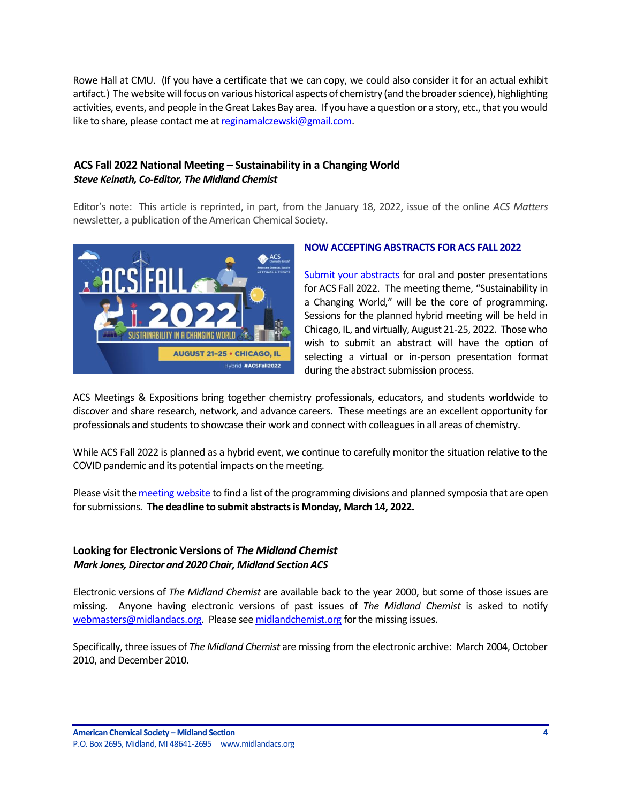Rowe Hall at CMU. (If you have a certificate that we can copy, we could also consider it for an actual exhibit artifact.) The website will focus on various historical aspects of chemistry (and the broader science), highlighting activities, events, and people in the Great Lakes Bay area. If you have a question or a story, etc., that you would like to share, please contact me a[t reginamalczewski@gmail.com.](mailto:reginamalczewski@gmail.com)

# <span id="page-3-0"></span>**ACS Fall 2022 National Meeting – Sustainability in a Changing World** *Steve Keinath, Co-Editor, The Midland Chemist*

Editor's note: This article is reprinted, in part, from the January 18, 2022, issue of the online *ACS Matters* newsletter, a publication of the American Chemical Society.



## **NOW ACCEPTING ABSTRACTS FOR ACS FALL 2022**

[Submit your abstracts](https://www.acs.org/content/acs/en/meetings/acs-meetings/abstract-submission/call-for-abstracts.html?sc=220118_mtg_news_acsmters_SPR22_od) for oral and poster presentations for ACS Fall 2022. The meeting theme, "Sustainability in a Changing World," will be the core of programming. Sessions for the planned hybrid meeting will be held in Chicago, IL, and virtually, August 21-25, 2022. Those who wish to submit an abstract will have the option of selecting a virtual or in-person presentation format during the abstract submission process.

ACS Meetings & Expositions bring together chemistry professionals, educators, and students worldwide to discover and share research, network, and advance careers. These meetings are an excellent opportunity for professionals and students to showcase their work and connect with colleagues in all areas of chemistry.

While ACS Fall 2022 is planned as a hybrid event, we continue to carefully monitor the situation relative to the COVID pandemic and its potential impacts on the meeting.

Please visit th[e meeting website](https://www.acs.org/content/acs/en/meetings/acs-meetings/abstract-submission/call-for-abstracts.html?sc=220118_mtg_news_acsmters_SPR22_od) to find a list of the programming divisions and planned symposia that are open for submissions. **The deadline to submit abstracts is Monday, March 14, 2022.**

# <span id="page-3-1"></span>**Looking for Electronic Versions of** *The Midland Chemist Mark Jones, Director and 2020 Chair, Midland Section ACS*

Electronic versions of *The Midland Chemist* are available back to the year 2000, but some of those issues are missing. Anyone having electronic versions of past issues of *The Midland Chemist* is asked to notify [webmasters@midlandacs.org.](mailto:webmasters@midlandacs.org) Please se[e midlandchemist.org](https://midlandchemist.org/) for the missing issues.

Specifically, three issues of *The Midland Chemist* are missing from the electronic archive: March 2004, October 2010, and December 2010.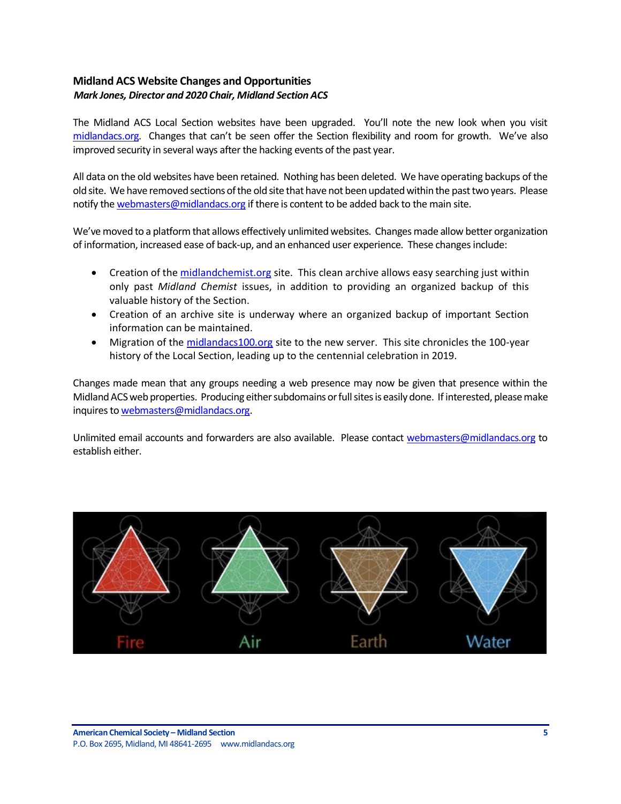# <span id="page-4-0"></span>**Midland ACS Website Changes and Opportunities** *Mark Jones, Director and 2020 Chair, Midland Section ACS*

The Midland ACS Local Section websites have been upgraded. You'll note the new look when you visit [midlandacs.org](https://midlandacs.org/). Changes that can't be seen offer the Section flexibility and room for growth. We've also improved security in several ways after the hacking events of the past year.

All data on the old websites have been retained. Nothing has been deleted. We have operating backups of the old site. We have removed sections of the old site that have not been updated within the past twoyears. Please notify th[e webmasters@midlandacs.org](mailto:webmasters@midlandacs.org) if there is content to be added back to the main site.

We've moved to a platform that allows effectively unlimited websites. Changes made allow better organization of information, increased ease of back-up, and an enhanced user experience. These changes include:

- Creation of the [midlandchemist.org](https://midlandchemist.org/) site. This clean archive allows easy searching just within only past *Midland Chemist* issues, in addition to providing an organized backup of this valuable history of the Section.
- Creation of an archive site is underway where an organized backup of important Section information can be maintained.
- Migration of the [midlandacs100.org](https://midlandacs100.org/) site to the new server. This site chronicles the 100-year history of the Local Section, leading up to the centennial celebration in 2019.

Changes made mean that any groups needing a web presence may now be given that presence within the Midland ACS web properties. Producing either subdomains or full sites is easily done. If interested, please make inquires t[o webmasters@midlandacs.org.](mailto:webmasters@midlandacs.org)

Unlimited email accounts and forwarders are also available. Please contact [webmasters@midlandacs.org](mailto:webmasters@midlandacs.org) to establish either.

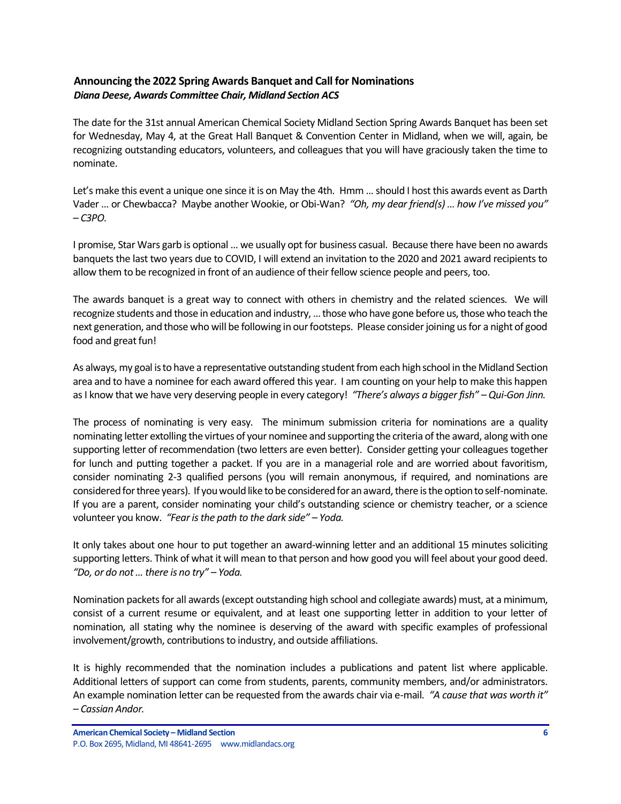# <span id="page-5-0"></span>**Announcing the 2022 Spring Awards Banquet and Call for Nominations** *Diana Deese, Awards Committee Chair, Midland Section ACS*

The date for the 31st annual American Chemical Society Midland Section Spring Awards Banquet has been set for Wednesday, May 4, at the Great Hall Banquet & Convention Center in Midland, when we will, again, be recognizing outstanding educators, volunteers, and colleagues that you will have graciously taken the time to nominate.

Let's make this event a unique one since it is on May the 4th. Hmm … should I host this awards event as Darth Vader … or Chewbacca? Maybe another Wookie, or Obi-Wan? *"Oh, my dear friend(s) … how I've missed you" – C3PO.*

I promise, Star Wars garb is optional … we usually opt for business casual. Because there have been no awards banquets the last two years due to COVID, I will extend an invitation to the 2020 and 2021 award recipients to allow them to be recognized in front of an audience of their fellow science people and peers, too.

The awards banquet is a great way to connect with others in chemistry and the related sciences. We will recognize students and those in education and industry, … those who have gone before us, those who teach the next generation, and those who will be following in our footsteps. Please consider joining us for a night of good food and great fun!

As always, my goal is to have a representative outstanding student from each high school in the Midland Section area and to have a nominee for each award offered this year. I am counting on your help to make this happen as I know that we have very deserving people in every category! *"There's always a bigger fish" – Qui-Gon Jinn.*

The process of nominating is very easy. The minimum submission criteria for nominations are a quality nominating letter extolling the virtues of your nominee and supporting the criteria of the award, along with one supporting letter of recommendation (two letters are even better). Consider getting your colleagues together for lunch and putting together a packet. If you are in a managerial role and are worried about favoritism, consider nominating 2-3 qualified persons (you will remain anonymous, if required, and nominations are considered for three years). If you would like to be considered for an award, there is the option to self-nominate. If you are a parent, consider nominating your child's outstanding science or chemistry teacher, or a science volunteer you know. *"Fear is the path to the dark side" – Yoda.*

It only takes about one hour to put together an award-winning letter and an additional 15 minutes soliciting supporting letters. Think of what it will mean to that person and how good you will feel about your good deed. *"Do, or do not … there is no try" – Yoda.*

Nomination packets for all awards (except outstanding high school and collegiate awards) must, at a minimum, consist of a current resume or equivalent, and at least one supporting letter in addition to your letter of nomination, all stating why the nominee is deserving of the award with specific examples of professional involvement/growth, contributions to industry, and outside affiliations.

It is highly recommended that the nomination includes a publications and patent list where applicable. Additional letters of support can come from students, parents, community members, and/or administrators. An example nomination letter can be requested from the awards chair via e-mail. *"A cause that was worth it" – Cassian Andor.*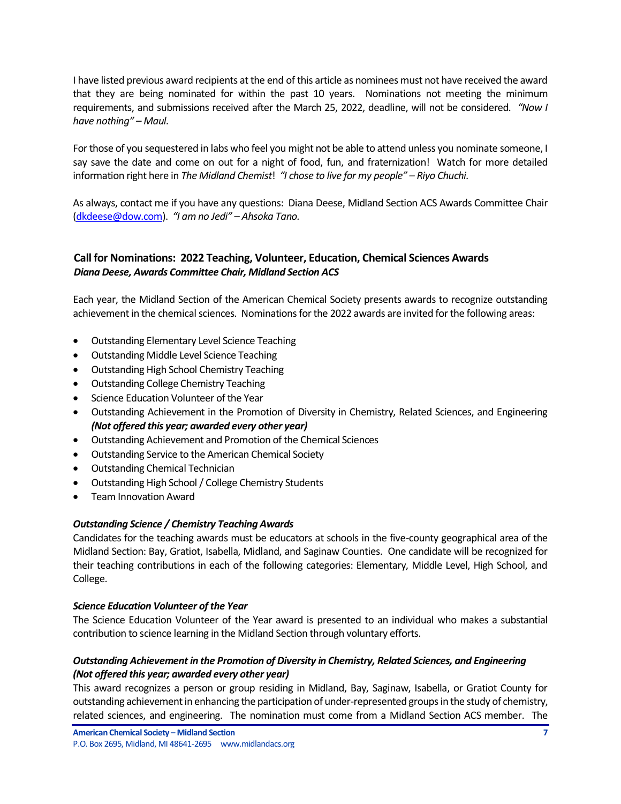I have listed previous award recipients at the end of this article as nominees must not have received the award that they are being nominated for within the past 10 years. Nominations not meeting the minimum requirements, and submissions received after the March 25, 2022, deadline, will not be considered. *"Now I have nothing" – Maul.*

For those of you sequestered in labs who feel you might not be able to attend unless you nominate someone, I say save the date and come on out for a night of food, fun, and fraternization! Watch for more detailed information right here in *The Midland Chemist*! *"I chose to live for my people" – Riyo Chuchi.*

As always, contact me if you have any questions: Diana Deese, Midland Section ACS Awards Committee Chair [\(dkdeese@dow.com\)](mailto:dkdeese@dow.com). *"I am no Jedi" – Ahsoka Tano.*

# <span id="page-6-0"></span>**Call for Nominations: 2022 Teaching, Volunteer, Education, Chemical Sciences Awards** *Diana Deese, Awards Committee Chair, Midland Section ACS*

Each year, the Midland Section of the American Chemical Society presents awards to recognize outstanding achievement in the chemical sciences. Nominations for the 2022 awards are invited for the following areas:

- Outstanding Elementary Level Science Teaching
- Outstanding Middle Level Science Teaching
- Outstanding High School Chemistry Teaching
- Outstanding College Chemistry Teaching
- Science Education Volunteer of the Year
- Outstanding Achievement in the Promotion of Diversity in Chemistry, Related Sciences, and Engineering *(Not offered this year; awarded every other year)*
- Outstanding Achievement and Promotion of the Chemical Sciences
- Outstanding Service to the American Chemical Society
- Outstanding Chemical Technician
- Outstanding High School / College Chemistry Students
- Team Innovation Award

## *Outstanding Science / Chemistry Teaching Awards*

Candidates for the teaching awards must be educators at schools in the five-county geographical area of the Midland Section: Bay, Gratiot, Isabella, Midland, and Saginaw Counties. One candidate will be recognized for their teaching contributions in each of the following categories: Elementary, Middle Level, High School, and College.

## *Science Education Volunteer of the Year*

The Science Education Volunteer of the Year award is presented to an individual who makes a substantial contribution to science learning in the Midland Section through voluntary efforts.

## *Outstanding Achievement in the Promotion of Diversity in Chemistry, Related Sciences, and Engineering (Not offered this year; awarded every other year)*

This award recognizes a person or group residing in Midland, Bay, Saginaw, Isabella, or Gratiot County for outstanding achievement in enhancing the participation of under-represented groups in the study of chemistry, related sciences, and engineering. The nomination must come from a Midland Section ACS member. The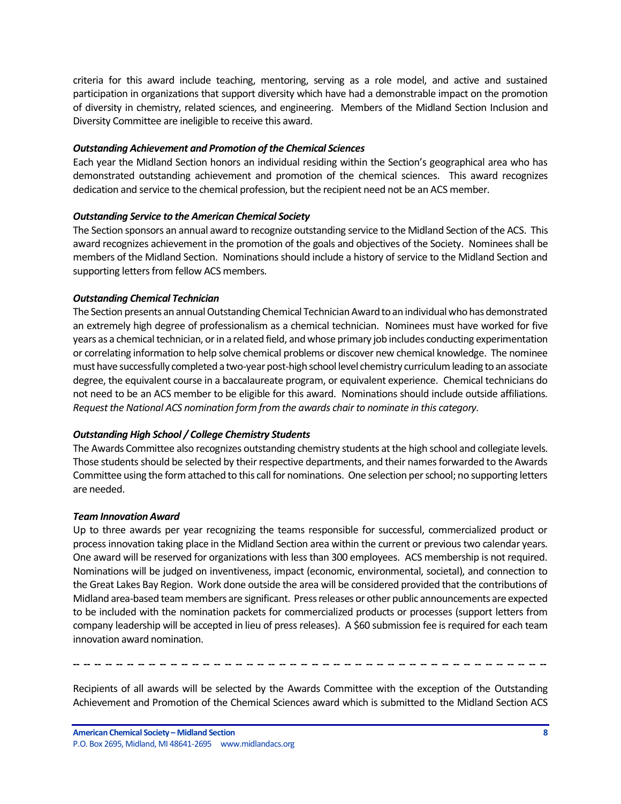criteria for this award include teaching, mentoring, serving as a role model, and active and sustained participation in organizations that support diversity which have had a demonstrable impact on the promotion of diversity in chemistry, related sciences, and engineering. Members of the Midland Section Inclusion and Diversity Committee are ineligible to receive this award.

## *Outstanding Achievement and Promotion of the Chemical Sciences*

Each year the Midland Section honors an individual residing within the Section's geographical area who has demonstrated outstanding achievement and promotion of the chemical sciences. This award recognizes dedication and service to the chemical profession, but the recipient need not be an ACS member.

## *Outstanding Service to the American Chemical Society*

The Section sponsors an annual award to recognize outstanding service to the Midland Section of the ACS. This award recognizes achievement in the promotion of the goals and objectives of the Society. Nominees shall be members of the Midland Section. Nominations should include a history of service to the Midland Section and supporting letters from fellow ACS members.

## *Outstanding Chemical Technician*

The Section presents an annual Outstanding Chemical Technician Award to an individual who has demonstrated an extremely high degree of professionalism as a chemical technician. Nominees must have worked for five years as a chemical technician, or in a related field, and whose primary job includes conducting experimentation or correlating information to help solve chemical problems or discover new chemical knowledge. The nominee must have successfully completed a two-year post-high school level chemistry curriculum leading to an associate degree, the equivalent course in a baccalaureate program, or equivalent experience. Chemical technicians do not need to be an ACS member to be eligible for this award. Nominations should include outside affiliations. *Request the National ACS nomination form from the awards chair to nominate in this category.*

#### *Outstanding High School / College Chemistry Students*

The Awards Committee also recognizes outstanding chemistry students at the high school and collegiate levels. Those students should be selected by their respective departments, and their names forwarded to the Awards Committee using the form attached to this call for nominations. One selection per school; no supporting letters are needed.

#### *Team Innovation Award*

Up to three awards per year recognizing the teams responsible for successful, commercialized product or process innovation taking place in the Midland Section area within the current or previous two calendar years. One award will be reserved for organizations with less than 300 employees. ACS membership is not required. Nominations will be judged on inventiveness, impact (economic, environmental, societal), and connection to the Great Lakes Bay Region. Work done outside the area will be considered provided that the contributions of Midland area-based team members are significant. Press releases or other public announcements are expected to be included with the nomination packets for commercialized products or processes (support letters from company leadership will be accepted in lieu of press releases). A \$60 submission fee is required for each team innovation award nomination.

**-- -- -- -- -- -- -- -- -- -- -- -- -- -- -- -- -- -- -- -- -- -- -- -- -- -- -- -- -- -- -- -- -- -- -- -- -- -- -- -- -- -- -- --**

Recipients of all awards will be selected by the Awards Committee with the exception of the Outstanding Achievement and Promotion of the Chemical Sciences award which is submitted to the Midland Section ACS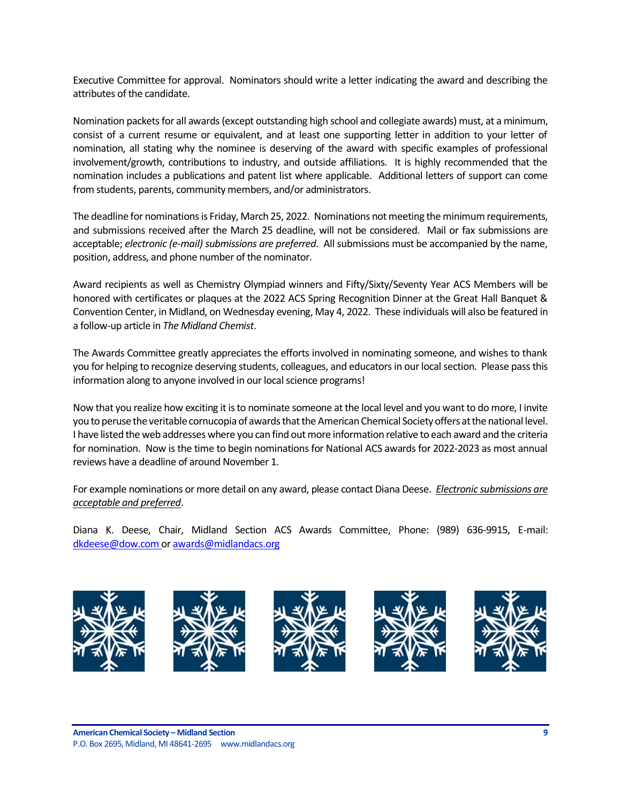Executive Committee for approval. Nominators should write a letter indicating the award and describing the attributes of the candidate.

Nomination packets for all awards (except outstanding high school and collegiate awards) must, at a minimum, consist of a current resume or equivalent, and at least one supporting letter in addition to your letter of nomination, all stating why the nominee is deserving of the award with specific examples of professional involvement/growth, contributions to industry, and outside affiliations. It is highly recommended that the nomination includes a publications and patent list where applicable. Additional letters of support can come from students, parents, community members, and/or administrators.

The deadline for nominations is Friday, March 25, 2022. Nominations not meeting the minimum requirements, and submissions received after the March 25 deadline, will not be considered. Mail or fax submissions are acceptable; *electronic (e-mail) submissions are preferred*. All submissions must be accompanied by the name, position, address, and phone number of the nominator.

Award recipients as well as Chemistry Olympiad winners and Fifty/Sixty/Seventy Year ACS Members will be honored with certificates or plaques at the 2022 ACS Spring Recognition Dinner at the Great Hall Banquet & Convention Center, in Midland, on Wednesday evening, May 4, 2022. These individuals will also be featured in a follow-up article in *The Midland Chemist*.

The Awards Committee greatly appreciates the efforts involved in nominating someone, and wishes to thank you for helping to recognize deserving students, colleagues, and educators in our local section. Please pass this information along to anyone involved in our local science programs!

Now that you realize how exciting it is to nominate someone at the local level and you want to do more, I invite you to peruse the veritable cornucopia of awards that the American Chemical Society offers at the national level. I have listed the web addresses where you can find out more information relative to each award and the criteria for nomination. Now is the time to begin nominations for National ACS awards for 2022-2023 as most annual reviews have a deadline of around November 1.

For example nominations or more detail on any award, please contact Diana Deese. *Electronic submissions are acceptable and preferred*.

Diana K. Deese, Chair, Midland Section ACS Awards Committee, Phone: (989) 636-9915, E-mail: [dkdeese@dow.com](mailto:dkdeese@dow.com) o[r awards@midlandacs.org](mailto:awards@midlandacs.org)

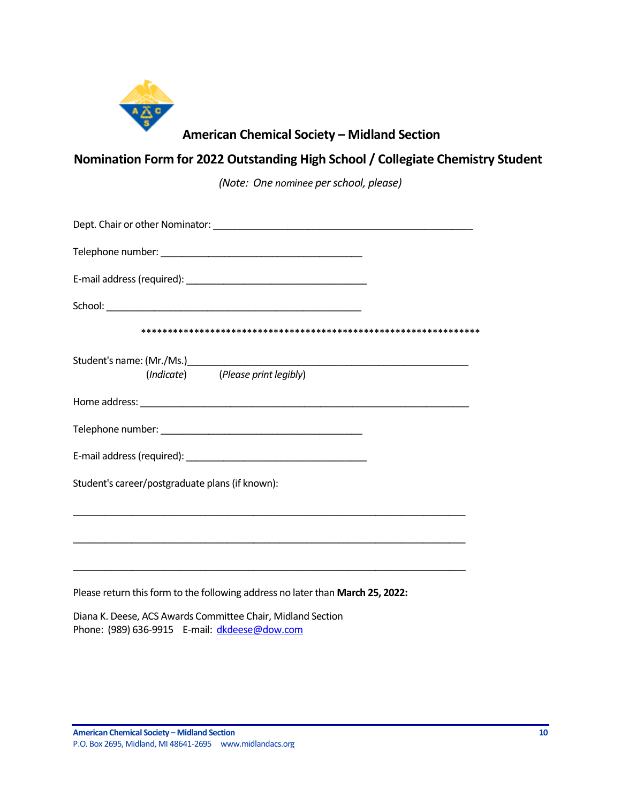

# **American Chemical Society – Midland Section**

# **Nomination Form for 2022 Outstanding High School / Collegiate Chemistry Student**

*(Note: One nominee per school, please)*

| (Indicate) (Please print legibly)                                                                                                             |
|-----------------------------------------------------------------------------------------------------------------------------------------------|
|                                                                                                                                               |
|                                                                                                                                               |
|                                                                                                                                               |
| Student's career/postgraduate plans (if known):                                                                                               |
|                                                                                                                                               |
| ,我们也不能在这里的时候,我们也不能在这里的时候,我们也不能会在这里的时候,我们也不能会在这里的时候,我们也不能会在这里的时候,我们也不能会在这里的时候,我们也不                                                             |
| Please return this form to the following address no later than March 25, 2022:                                                                |
| $D_{\rm L}$ . The $D_{\rm L}$ such a $D_{\rm C}$ and $D_{\rm L}$ is the set of $D_{\rm L}$ . The set of $D_{\rm L}$ is the set of $D_{\rm L}$ |

Diana K. Deese, ACS Awards Committee Chair, Midland Section Phone: (989) 636-9915 E-mail: [dkdeese@dow.com](mailto:dkdeese@dow.com)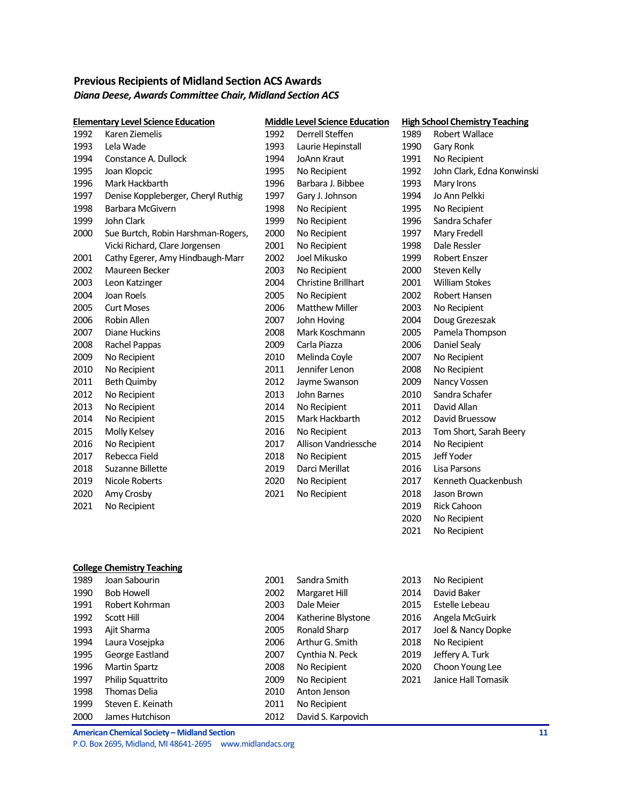# <span id="page-10-0"></span>**Previous Recipients of Midland Section ACS Awards** *Diana Deese, Awards Committee Chair, Midland Section ACS*

|      | <b>Elementary Level Science Education</b> |      | <b>Middle Level Science Education</b> |      | <b>High School Chemistry Teaching</b> |
|------|-------------------------------------------|------|---------------------------------------|------|---------------------------------------|
| 1992 | Karen Ziemelis                            | 1992 | Derrell Steffen                       | 1989 | Robert Wallace                        |
| 1993 | Lela Wade                                 | 1993 | Laurie Hepinstall                     | 1990 | Gary Ronk                             |
| 1994 | Constance A. Dullock                      | 1994 | JoAnn Kraut                           | 1991 | No Recipient                          |
| 1995 | Joan Klopcic                              | 1995 | No Recipient                          | 1992 | John Clark, Edna Konwinski            |
| 1996 | Mark Hackbarth                            | 1996 | Barbara J. Bibbee                     | 1993 | Mary Irons                            |
| 1997 | Denise Koppleberger, Cheryl Ruthig        | 1997 | Gary J. Johnson                       | 1994 | Jo Ann Pelkki                         |
| 1998 | Barbara McGivern                          | 1998 | No Recipient                          | 1995 | No Recipient                          |
| 1999 | John Clark                                | 1999 | No Recipient                          | 1996 | Sandra Schafer                        |
| 2000 | Sue Burtch, Robin Harshman-Rogers,        | 2000 | No Recipient                          | 1997 | Mary Fredell                          |
|      | Vicki Richard, Clare Jorgensen            | 2001 | No Recipient                          | 1998 | Dale Ressler                          |
| 2001 | Cathy Egerer, Amy Hindbaugh-Marr          | 2002 | Joel Mikusko                          | 1999 | Robert Enszer                         |
| 2002 | Maureen Becker                            | 2003 | No Recipient                          | 2000 | Steven Kelly                          |
| 2003 | Leon Katzinger                            | 2004 | Christine Brillhart                   | 2001 | <b>William Stokes</b>                 |
| 2004 | Joan Roels                                | 2005 | No Recipient                          | 2002 | Robert Hansen                         |
| 2005 | <b>Curt Moses</b>                         | 2006 | <b>Matthew Miller</b>                 | 2003 | No Recipient                          |
| 2006 | Robin Allen                               | 2007 | John Hoving                           | 2004 | Doug Grezeszak                        |
| 2007 | Diane Huckins                             | 2008 | Mark Koschmann                        | 2005 | Pamela Thompson                       |
| 2008 | Rachel Pappas                             | 2009 | Carla Piazza                          | 2006 | Daniel Sealy                          |
| 2009 | No Recipient                              | 2010 | Melinda Coyle                         | 2007 | No Recipient                          |
| 2010 | No Recipient                              | 2011 | Jennifer Lenon                        | 2008 | No Recipient                          |
| 2011 | <b>Beth Quimby</b>                        | 2012 | Jayme Swanson                         | 2009 | Nancy Vossen                          |
| 2012 | No Recipient                              | 2013 | John Barnes                           | 2010 | Sandra Schafer                        |
| 2013 | No Recipient                              | 2014 | No Recipient                          | 2011 | David Allan                           |
| 2014 | No Recipient                              | 2015 | Mark Hackbarth                        | 2012 | David Bruessow                        |
| 2015 | Molly Kelsey                              | 2016 | No Recipient                          | 2013 | Tom Short, Sarah Beery                |
| 2016 | No Recipient                              | 2017 | Allison Vandriessche                  | 2014 | No Recipient                          |
| 2017 | Rebecca Field                             | 2018 | No Recipient                          | 2015 | Jeff Yoder                            |
| 2018 | Suzanne Billette                          | 2019 | Darci Merillat                        | 2016 | Lisa Parsons                          |
| 2019 | Nicole Roberts                            | 2020 | No Recipient                          | 2017 | Kenneth Quackenbush                   |
| 2020 | Amy Crosby                                | 2021 | No Recipient                          | 2018 | Jason Brown                           |
| 2021 | No Recipient                              |      |                                       | 2019 | Rick Cahoon                           |
|      |                                           |      |                                       | 2020 | No Recipient                          |
|      |                                           |      |                                       | 2021 | No Recipient                          |
|      |                                           |      |                                       |      |                                       |
|      | <b>College Chemistry Teaching</b>         |      |                                       |      |                                       |
| 1989 | Joan Sabourin                             | 2001 | Sandra Smith                          | 2013 | No Recipient                          |
| 1990 | <b>Bob Howell</b>                         | 2002 | Margaret Hill                         | 2014 | David Baker                           |
| 1991 | Robert Kohrman                            | 2003 | Dale Meier                            | 2015 | Estelle Lebeau                        |
| 1992 | Scott Hill                                | 2004 | Katherine Blystone                    | 2016 | Angela McGuirk                        |
| 1993 | Ajit Sharma                               | 2005 | Ronald Sharp                          | 2017 | Joel & Nancy Dopke                    |
| 1994 | Laura Vosejpka                            | 2006 | Arthur G. Smith                       | 2018 | No Recipient                          |
| 1995 | George Eastland                           | 2007 | Cynthia N. Peck                       | 2019 | Jeffery A. Turk                       |
| 1996 | <b>Martin Spartz</b>                      | 2008 | No Recipient                          | 2020 | Choon Young Lee                       |
| 1997 | Philip Squattrito                         | 2009 | No Recipient                          | 2021 | Janice Hall Tomasik                   |

**American Chemical Society – Midland Section 11** P.O. Box 2695, Midland, MI 48641-2695 www.midlandacs.org

1999 Steven E. Keinath

1998 Thomas Delia 2010 Anton Jenson<br>1999 Steven E. Keinath 2011 No Recipient

James Hutchison 2012 David S. Karpovich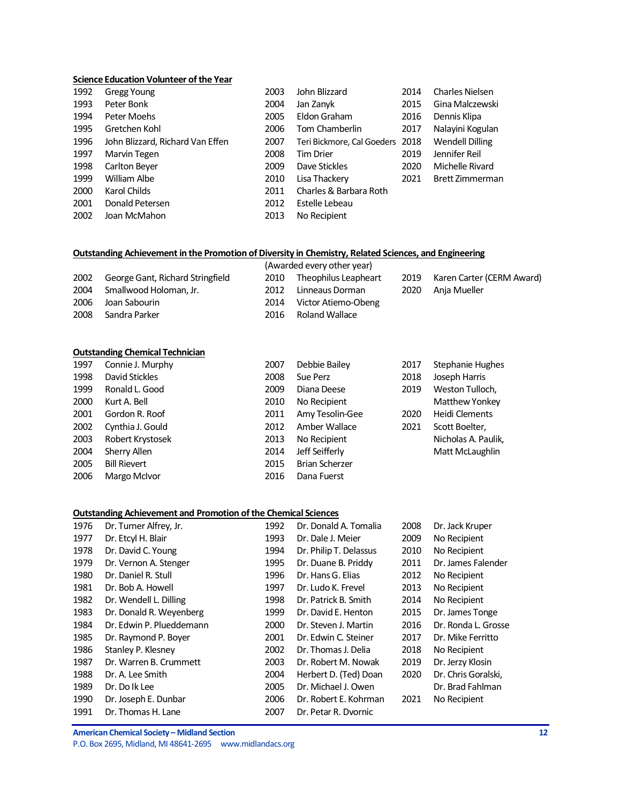#### **Science Education Volunteer of the Year**

| 1992 | <b>Gregg Young</b>               | 2003 | John Blizzard                   | 2014 | Charles Nielsen        |
|------|----------------------------------|------|---------------------------------|------|------------------------|
| 1993 | Peter Bonk                       | 2004 | Jan Zanyk                       | 2015 | Gina Malczewski        |
| 1994 | Peter Moehs                      | 2005 | Eldon Graham                    | 2016 | Dennis Klipa           |
| 1995 | Gretchen Kohl                    | 2006 | Tom Chamberlin                  | 2017 | Nalayini Kogulan       |
| 1996 | John Blizzard, Richard Van Effen | 2007 | Teri Bickmore, Cal Goeders 2018 |      | <b>Wendell Dilling</b> |
| 1997 | Marvin Tegen                     | 2008 | <b>Tim Drier</b>                | 2019 | Jennifer Reil          |
| 1998 | Carlton Beyer                    | 2009 | Dave Stickles                   | 2020 | Michelle Rivard        |
| 1999 | William Albe                     | 2010 | Lisa Thackery                   | 2021 | <b>Brett Zimmerman</b> |
| 2000 | Karol Childs                     | 2011 | Charles & Barbara Roth          |      |                        |
| 2001 | Donald Petersen                  | 2012 | Estelle Lebeau                  |      |                        |
| 2002 | Joan McMahon                     | 2013 | No Recipient                    |      |                        |

## **Outstanding Achievement in the Promotion of Diversity in Chemistry, Related Sciences, and Engineering**

|                                                                                                   |                 | 2019                                                                           | Karen Carter (CERM Award) |
|---------------------------------------------------------------------------------------------------|-----------------|--------------------------------------------------------------------------------|---------------------------|
| 2012                                                                                              | Linneaus Dorman | 2020                                                                           | Anja Mueller              |
| 2014                                                                                              |                 |                                                                                |                           |
| 2016                                                                                              | Roland Wallace  |                                                                                |                           |
| George Gant, Richard Stringfield<br>2004 Smallwood Holoman, Jr.<br>Joan Sabourin<br>Sandra Parker |                 | (Awarded every other year)<br>2010 Theophilus Leapheart<br>Victor Atiemo-Obeng |                           |

## **Outstanding Chemical Technician**

| 1997 | Connie J. Murphy    | 2007 | Debbie Bailey         | 2017 | Stephanie Hughes    |
|------|---------------------|------|-----------------------|------|---------------------|
| 1998 | David Stickles      | 2008 | Sue Perz              | 2018 | Joseph Harris       |
| 1999 | Ronald L. Good      | 2009 | Diana Deese           | 2019 | Weston Tulloch,     |
| 2000 | Kurt A. Bell        | 2010 | No Recipient          |      | Matthew Yonkey      |
| 2001 | Gordon R. Roof      | 2011 | Amy Tesolin-Gee       | 2020 | Heidi Clements      |
| 2002 | Cynthia J. Gould    | 2012 | Amber Wallace         | 2021 | Scott Boelter,      |
| 2003 | Robert Krystosek    | 2013 | No Recipient          |      | Nicholas A. Paulik, |
| 2004 | Sherry Allen        | 2014 | Jeff Seifferly        |      | Matt McLaughlin     |
| 2005 | <b>Bill Rievert</b> | 2015 | <b>Brian Scherzer</b> |      |                     |
| 2006 | Margo McIvor        | 2016 | Dana Fuerst           |      |                     |

## **Outstanding Achievement and Promotion of the Chemical Sciences**

| 1976 | Dr. Turner Alfrey, Jr.   | 1992 | Dr. Donald A. Tomalia  | 2008 | Dr. Jack Kruper     |
|------|--------------------------|------|------------------------|------|---------------------|
| 1977 | Dr. Etcyl H. Blair       | 1993 | Dr. Dale J. Meier      | 2009 | No Recipient        |
| 1978 | Dr. David C. Young       | 1994 | Dr. Philip T. Delassus | 2010 | No Recipient        |
| 1979 | Dr. Vernon A. Stenger    | 1995 | Dr. Duane B. Priddy    | 2011 | Dr. James Falender  |
| 1980 | Dr. Daniel R. Stull      | 1996 | Dr. Hans G. Elias      | 2012 | No Recipient        |
| 1981 | Dr. Bob A. Howell        | 1997 | Dr. Ludo K. Frevel     | 2013 | No Recipient        |
| 1982 | Dr. Wendell L. Dilling   | 1998 | Dr. Patrick B. Smith   | 2014 | No Recipient        |
| 1983 | Dr. Donald R. Weyenberg  | 1999 | Dr. David E. Henton    | 2015 | Dr. James Tonge     |
| 1984 | Dr. Edwin P. Plueddemann | 2000 | Dr. Steven J. Martin   | 2016 | Dr. Ronda L. Grosse |
| 1985 | Dr. Raymond P. Boyer     | 2001 | Dr. Edwin C. Steiner   | 2017 | Dr. Mike Ferritto   |
| 1986 | Stanley P. Klesney       | 2002 | Dr. Thomas J. Delia    | 2018 | No Recipient        |
| 1987 | Dr. Warren B. Crummett   | 2003 | Dr. Robert M. Nowak    | 2019 | Dr. Jerzy Klosin    |
| 1988 | Dr. A. Lee Smith         | 2004 | Herbert D. (Ted) Doan  | 2020 | Dr. Chris Goralski, |
| 1989 | Dr. Do lk Lee            | 2005 | Dr. Michael J. Owen    |      | Dr. Brad Fahlman    |
| 1990 | Dr. Joseph E. Dunbar     | 2006 | Dr. Robert E. Kohrman  | 2021 | No Recipient        |
| 1991 | Dr. Thomas H. Lane       | 2007 | Dr. Petar R. Dvornic   |      |                     |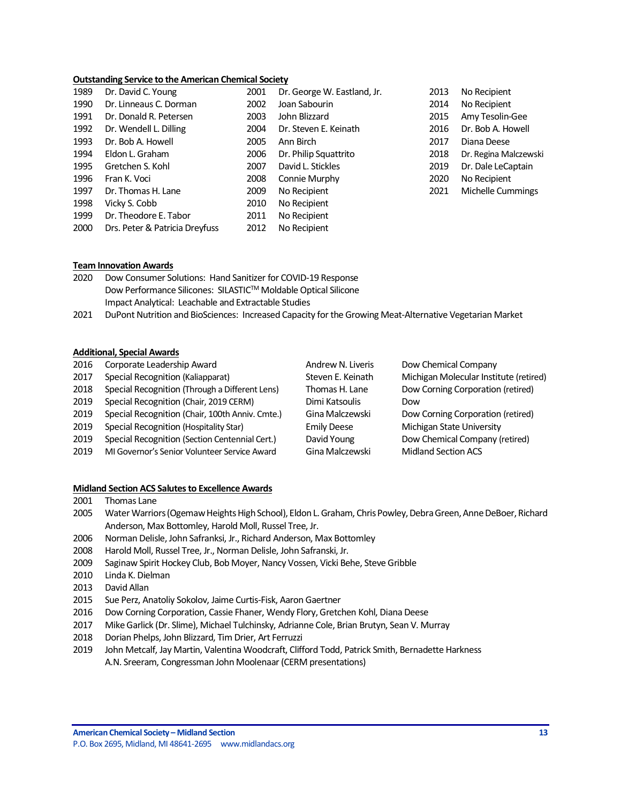#### **Outstanding Service to the American Chemical Society**

| 1989 | Dr. David C. Young             | 2001 | Dr. George W. Eastland, Jr. | 2013 | No Recipient  |
|------|--------------------------------|------|-----------------------------|------|---------------|
| 1990 | Dr. Linneaus C. Dorman         | 2002 | Joan Sabourin               | 2014 | No Recipient  |
| 1991 | Dr. Donald R. Petersen         | 2003 | John Blizzard               | 2015 | Amy Tesolin-  |
| 1992 | Dr. Wendell L. Dilling         | 2004 | Dr. Steven E. Keinath       | 2016 | Dr. Bob A. Ho |
| 1993 | Dr. Bob A. Howell              | 2005 | Ann Birch                   | 2017 | Diana Deese   |
| 1994 | Eldon L. Graham                | 2006 | Dr. Philip Squattrito       | 2018 | Dr. Regina Ma |
| 1995 | Gretchen S. Kohl               | 2007 | David L. Stickles           | 2019 | Dr. Dale LeCa |
| 1996 | Fran K. Voci                   | 2008 | Connie Murphy               | 2020 | No Recipient  |
| 1997 | Dr. Thomas H. Lane             | 2009 | No Recipient                | 2021 | Michelle Cun  |
| 1998 | Vicky S. Cobb                  | 2010 | No Recipient                |      |               |
| 1999 | Dr. Theodore E. Tabor          | 2011 | No Recipient                |      |               |
| 2000 | Drs. Peter & Patricia Dreyfuss | 2012 | No Recipient                |      |               |

2015 Amy Tesolin-Gee 2016 Dr. Bob A. Howell 2018 Dr. Regina Malczewski 2019 Dr. Dale LeCaptain 2020 No Recipient 2021 Michelle Cummings

- **Team Innovation Awards**
- 2020 Dow Consumer Solutions: Hand Sanitizer for COVID-19 Response Dow Performance Silicones: SILASTIC™ Moldable Optical Silicone Impact Analytical: Leachable and Extractable Studies
- 2021 DuPont Nutrition and BioSciences: Increased Capacity for the Growing Meat-Alternative Vegetarian Market

#### **Additional, Special Awards**

2016 Corporate Leadership Award **Andrew N. Liveris** Dow Chemical Company Special Recognition (Kaliapparat) Steven E. Keinath Michigan Molecular Institute (retired) Special Recognition (Through a Different Lens) Thomas H. Lane Dow Corning Corporation (retired) Special Recognition (Chair, 2019 CERM) Dimi Katsoulis Dow Special Recognition (Chair, 100th Anniv. Cmte.) Gina Malczewski Dow Corning Corporation (retired) 2019 Special Recognition (Hospitality Star) **Emily Deese** Michigan State University Special Recognition (Section Centennial Cert.) David Young Dow Chemical Company (retired) 2019 MI Governor's Senior Volunteer Service Award Gina Malczewski Midland Section ACS

#### **Midland Section ACS Salutes to Excellence Awards**

- 2001 Thomas Lane
- 2005 Water Warriors (Ogemaw Heights High School), Eldon L. Graham, Chris Powley, Debra Green, Anne DeBoer, Richard Anderson, Max Bottomley, Harold Moll, Russel Tree, Jr.
- 2006 Norman Delisle, John Safranksi, Jr., Richard Anderson, Max Bottomley
- 2008 Harold Moll, Russel Tree, Jr., Norman Delisle, John Safranski, Jr.
- 2009 Saginaw Spirit Hockey Club, Bob Moyer, Nancy Vossen, Vicki Behe, Steve Gribble
- 2010 Linda K. Dielman
- 2013 David Allan
- 2015 Sue Perz, Anatoliy Sokolov, Jaime Curtis-Fisk, Aaron Gaertner
- 2016 Dow Corning Corporation, Cassie Fhaner, Wendy Flory, Gretchen Kohl, Diana Deese
- 2017 Mike Garlick (Dr. Slime), Michael Tulchinsky, Adrianne Cole, Brian Brutyn, Sean V. Murray
- 2018 Dorian Phelps, John Blizzard, Tim Drier, Art Ferruzzi
- 2019 John Metcalf, Jay Martin, Valentina Woodcraft, Clifford Todd, Patrick Smith, Bernadette Harkness A.N. Sreeram, Congressman John Moolenaar (CERM presentations)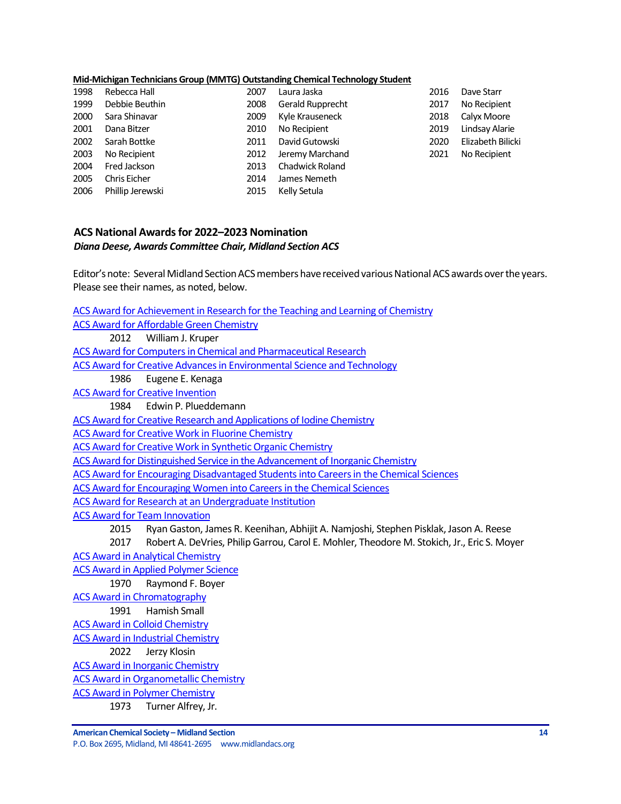## **Mid-Michigan Technicians Group (MMTG) Outstanding Chemical Technology Student**

| 1998 | Rebecca Hall        | 2007 | Laura Jaska            | 2016 | Dave Starr        |
|------|---------------------|------|------------------------|------|-------------------|
| 1999 | Debbie Beuthin      | 2008 | Gerald Rupprecht       | 2017 | No Recipient      |
| 2000 | Sara Shinavar       | 2009 | Kyle Krauseneck        | 2018 | Calyx Moore       |
| 2001 | Dana Bitzer         | 2010 | No Recipient           | 2019 | Lindsay Alarie    |
| 2002 | Sarah Bottke        | 2011 | David Gutowski         | 2020 | Elizabeth Bilicki |
| 2003 | No Recipient        | 2012 | Jeremy Marchand        | 2021 | No Recipient      |
| 2004 | Fred Jackson        | 2013 | <b>Chadwick Roland</b> |      |                   |
| 2005 | <b>Chris Eicher</b> | 2014 | James Nemeth           |      |                   |
| 2006 | Phillip Jerewski    | 2015 | Kelly Setula           |      |                   |

# <span id="page-13-0"></span>**ACS National Awardsfor 2022–2023 Nomination** *Diana Deese, Awards Committee Chair, Midland Section ACS*

Editor's note: Several Midland Section ACS members have received various National ACS awards over the years. Please see their names, as noted, below.

| ACS Award for Achievement in Research for the Teaching and Learning of Chemistry                   |
|----------------------------------------------------------------------------------------------------|
| <b>ACS Award for Affordable Green Chemistry</b>                                                    |
| 2012<br>William J. Kruper                                                                          |
| <b>ACS Award for Computers in Chemical and Pharmaceutical Research</b>                             |
| <b>ACS Award for Creative Advances in Environmental Science and Technology</b>                     |
| 1986<br>Eugene E. Kenaga                                                                           |
| <b>ACS Award for Creative Invention</b>                                                            |
| Edwin P. Plueddemann<br>1984                                                                       |
| ACS Award for Creative Research and Applications of Iodine Chemistry                               |
| <b>ACS Award for Creative Work in Fluorine Chemistry</b>                                           |
| <b>ACS Award for Creative Work in Synthetic Organic Chemistry</b>                                  |
| ACS Award for Distinguished Service in the Advancement of Inorganic Chemistry                      |
| ACS Award for Encouraging Disadvantaged Students into Careers in the Chemical Sciences             |
| <b>ACS Award for Encouraging Women into Careers in the Chemical Sciences</b>                       |
| <b>ACS Award for Research at an Undergraduate Institution</b>                                      |
| <b>ACS Award for Team Innovation</b>                                                               |
| Ryan Gaston, James R. Keenihan, Abhijit A. Namjoshi, Stephen Pisklak, Jason A. Reese<br>2015       |
| Robert A. DeVries, Philip Garrou, Carol E. Mohler, Theodore M. Stokich, Jr., Eric S. Moyer<br>2017 |
| <b>ACS Award in Analytical Chemistry</b>                                                           |
| <b>ACS Award in Applied Polymer Science</b>                                                        |
| Raymond F. Boyer<br>1970                                                                           |
| <b>ACS Award in Chromatography</b>                                                                 |
| Hamish Small<br>1991                                                                               |
| <b>ACS Award in Colloid Chemistry</b>                                                              |
| <b>ACS Award in Industrial Chemistry</b>                                                           |
| 2022<br>Jerzy Klosin                                                                               |
| <b>ACS Award in Inorganic Chemistry</b>                                                            |
| <b>ACS Award in Organometallic Chemistry</b>                                                       |
| <b>ACS Award in Polymer Chemistry</b>                                                              |
| 1973<br>Turner Alfrey, Jr.                                                                         |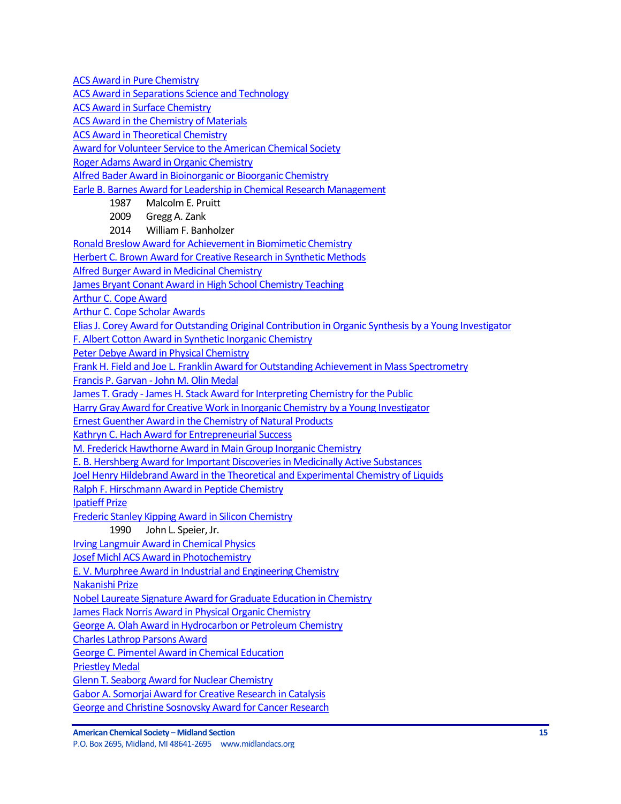[ACS Award in Pure Chemistry](http://www.acs.org/content/acs/en/funding-and-awards/awards/national/bytopic/acs-award-in-pure-chemistry.html)

[ACS Award in Separations Science and Technology](http://www.acs.org/content/acs/en/funding-and-awards/awards/national/bytopic/acs-award-in-separations-science-and-technology.html)

[ACS Award in Surface Chemistry](http://www.acs.org/content/acs/en/funding-and-awards/awards/national/bytopic/acs-award-in-surface-chemistry.html)

[ACS Award in the Chemistry of Materials](http://www.acs.org/content/acs/en/funding-and-awards/awards/national/bytopic/acs-award-in-the-chemistry-of-materials.html)

[ACS Award in Theoretical Chemistry](http://www.acs.org/content/acs/en/funding-and-awards/awards/national/bytopic/acs-award-in-theoretical-chemistry.html)

[Award for Volunteer Service to the American Chemical Society](http://www.acs.org/content/acs/en/funding-and-awards/awards/national/bytopic/award-for-volunteer-service-to-the-american-chemical-society.html)

[Roger Adams Award in Organic Chemistry](http://www.acs.org/content/acs/en/funding-and-awards/awards/national/bytopic/roger-adams-award-in-organic-chemistry.html)

[Alfred Bader Award in Bioinorganic or Bioorganic Chemistry](http://www.acs.org/content/acs/en/funding-and-awards/awards/national/bytopic/alfred-bader-award-in-bioinorganic-or-bioorganic-chemistry.html)

[Earle B. Barnes Award for Leadership in Chemical Research Management](http://www.acs.org/content/acs/en/funding-and-awards/awards/national/bytopic/earle-b-barnes-award-for-leadership-in-chemical-research-management.html)

- 1987 Malcolm E. Pruitt
- 2009 Gregg A. Zank
- 2014 William F. Banholzer

[Ronald Breslow Award for Achievement in Biomimetic Chemistry](http://www.acs.org/content/acs/en/funding-and-awards/awards/national/bytopic/ronald-breslow-award-for-achievement-in-biomimetic-chemistry.html)

[Herbert C. Brown Award for Creative Research in Synthetic Methods](http://www.acs.org/content/acs/en/funding-and-awards/awards/national/bytopic/herbert-c-brown-award-for-creative-research-in-synthetic-methods.html)

[Alfred Burger Award in Medicinal Chemistry](https://www.acs.org/content/acs/en/funding-and-awards/awards/national/bytopic/alfred-burger-award-in-medicinal-chemistry.html?_ga=1.126276233.525249293.1483657158)

[James Bryant Conant Award in High School Chemistry Teaching](http://www.acs.org/content/acs/en/funding-and-awards/awards/national/bytopic/james-bryant-conant-award-in-high-school-chemistry-teaching.html)

[Arthur C. Cope Award](http://www.acs.org/content/acs/en/funding-and-awards/awards/national/bytopic/arthur-c-cope-award.html)

[Arthur C. Cope Scholar Awards](https://www.acs.org/content/acs/en/funding-and-awards/awards/national/bytopic/arthur-cope-scholar-award.html?_ga=1.41640802.1585534025.1483717018)

[Elias J. Corey Award for Outstanding Original Contribution in Organic Synthesis by a Young Investigator](http://www.acs.org/content/acs/en/funding-and-awards/awards/national/bytopic/elias-j-corey-award-for-outstanding-original-contribution-in-organic-synthesis-by-a-young-investigator.html)

[F. Albert Cotton Award in Synthetic Inorganic Chemistry](http://www.acs.org/content/acs/en/funding-and-awards/awards/national/bytopic/f-albert-cotton-award-in-synthetic-inorganic-chemistry.html)

[Peter Debye Award in Physical Chemistry](http://www.acs.org/content/acs/en/funding-and-awards/awards/national/bytopic/peter-debye-award-in-physical-chemistry.html)

[Frank H. Field and Joe L. Franklin Award for Outstanding Achievement in Mass Spectrometry](http://www.acs.org/content/acs/en/funding-and-awards/awards/national/bytopic/frank-h-field-and-joe-l-franklin-award-for-outstanding-achievement-in-mass-spectrometry.html)

Francis P. Garvan - [John M. Olin Medal](http://www.acs.org/content/acs/en/funding-and-awards/awards/national/bytopic/francis-p-garvan-john-m-olin-medal.html)

James T. Grady - [James H. Stack Award for Interpreting Chemistry for the Public](http://www.acs.org/content/acs/en/funding-and-awards/awards/national/bytopic/james-t-grady-james-h-stack-award-for-interpreting-chemistry-for-the-public.html)

Harry Gray Award for Creative [Work in Inorganic Chemistry by a Young Investigator](http://www.acs.org/content/acs/en/funding-and-awards/awards/national/bytopic/harry-gray-award-for-creative-work-in-inorganic-chemistry-by-a-y.html)

[Ernest Guenther Award in the Chemistry of Natural Products](http://www.acs.org/content/acs/en/funding-and-awards/awards/national/bytopic/ernest-guenther-award-in-the-chemistry-of-natural-products.html)

[Kathryn C. Hach Award for Entrepreneurial Success](http://www.acs.org/content/acs/en/funding-and-awards/awards/national/bytopic/entrepreneurial-success.html)

[M. Frederick Hawthorne Award in Main Group Inorganic Chemistry](https://www.acs.org/content/acs/en/funding-and-awards/awards/national/bytopic/m-frederick-hawthorne-award-in-main-group-inorganic-chemistry.html)

[E. B. Hershberg Award for Important Discoveries in Medicinally Active Substances](http://www.acs.org/content/acs/en/funding-and-awards/awards/national/bytopic/e-b-hershberg-award-for-important-discoveries-in-medicinally-active-substances.html)

[Joel Henry Hildebrand Award in the Theoretical and Experimental Chemistry of Liquids](http://www.acs.org/content/acs/en/funding-and-awards/awards/national/bytopic/joel-henry-hildebrand-award-in-the-theoretical-and-experimental-chemistry-of-liquids.html)

[Ralph F. Hirschmann Award in Peptide Chemistry](https://www.acs.org/content/acs/en/funding-and-awards/awards/national/bytopic/ralph-f-hirschmann-award-in-peptide-chemistry.html?_ga=1.155637183.525249293.1483657158)

[Ipatieff Prize](https://www.acs.org/content/acs/en/funding-and-awards/awards/national/bytopic/ipatieff-prize.html?_ga=1.155637183.525249293.1483657158)

[Frederic Stanley Kipping Award in Silicon Chemistry](http://www.acs.org/content/acs/en/funding-and-awards/awards/national/bytopic/frederic-stanley-kipping-award-in-silicon-chemistry.html)

1990 John L. Speier, Jr.

[Irving Langmuir Award in Chemical Physics](https://www.acs.org/content/acs/en/funding-and-awards/awards/national/bytopic/irving-langmuir-award-in-chemical-physics.html?_ga=1.61816104.525249293.1483657158)

[Josef Michl ACS Award in Photochemistry](https://www.acs.org/content/acs/en/funding-and-awards/awards/national/bytopic/josef-michl-acs-award-in-photochemistry.html?cq_ck=1404230027376&_ga=1.268382858.525249293.1483657158)

[E. V. Murphree Award in Industrial and Engineering Chemistry](http://www.acs.org/content/acs/en/funding-and-awards/awards/national/bytopic/e-v-murphree-award-in-industrial-and-engineering-chemistry.html)

[Nakanishi Prize](http://www.acs.org/content/acs/en/funding-and-awards/awards/national/bytopic/nakanishi-prize.html)

[Nobel Laureate Signature Award for Graduate Education in Chemistry](http://www.acs.org/content/acs/en/funding-and-awards/awards/national/bytopic/nobel-laureate-signature-award-for-graduate-education-in-chemistry.html)

[James Flack Norris Award in Physical Organic Chemistry](http://www.acs.org/content/acs/en/funding-and-awards/awards/national/bytopic/james-flack-norris-award-in-physical-organic-chemistry.html)

[George A. Olah Award in Hydrocarbon or Petroleum Chemistry](http://www.acs.org/content/acs/en/funding-and-awards/awards/national/bytopic/george-a-olah-award-in-hydrocarbon-or-petroleum-chemistry.html)

[Charles Lathrop Parsons Award](http://www.acs.org/content/acs/en/funding-and-awards/awards/national/bytopic/charles-lathrop-parsons-award.html)

[George C. Pimentel Award in Chemical Education](http://www.acs.org/content/acs/en/funding-and-awards/awards/national/bytopic/george-c-pimentel-award-in-chemical-education.html)

[Priestley Medal](http://www.acs.org/content/acs/en/funding-and-awards/awards/national/bytopic/priestley-medal.html)

[Glenn T. Seaborg Award for Nuclear Chemistry](http://www.acs.org/content/acs/en/funding-and-awards/awards/national/bytopic/glenn-t-seaborg-award-for-nuclear-chemistry.html)

[Gabor A. Somorjai Award for Creative Research in Catalysis](http://www.acs.org/content/acs/en/funding-and-awards/awards/national/bytopic/gabor-a-somorjai-award-for-creative-research-in-catalysis.html)

[George and Christine Sosnovsky Award for Cancer Research](http://www.acs.org/content/acs/en/funding-and-awards/awards/national/bytopic/the-george-and-christine-sosnovsky-award-for-cancer-research.html)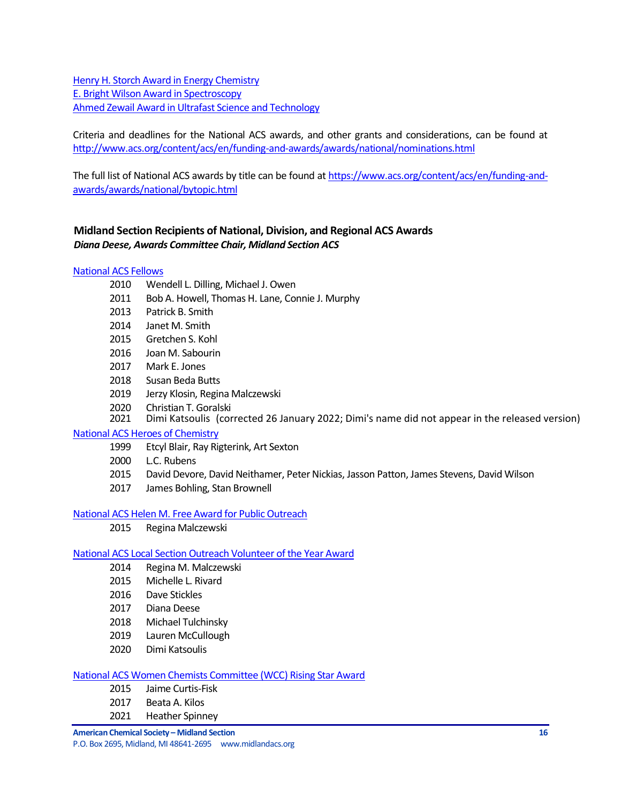[Henry H. Storch Award in Energy Chemistry](https://www.acs.org/content/acs/en/funding-and-awards/awards/national/bytopic/henry-h-storch-award-in-energy-chemistry.html) [E. Bright Wilson Award in Spectroscopy](http://www.acs.org/content/acs/en/funding-and-awards/awards/national/bytopic/e-bright-wilson-award-in-spectroscopy.html) [Ahmed Zewail Award in Ultrafast Science and Technology](http://www.acs.org/content/acs/en/funding-and-awards/awards/national/bytopic/the-ahmed-zewail-award-in-ultrafast-science-and-technology.html)

Criteria and deadlines for the National ACS awards, and other grants and considerations, can be found at <http://www.acs.org/content/acs/en/funding-and-awards/awards/national/nominations.html>

The full list of National ACS awards by title can be found at [https://www.acs.org/content/acs/en/funding-and](https://www.acs.org/content/acs/en/funding-and-awards/awards/national/bytopic.html)[awards/awards/national/bytopic.html](https://www.acs.org/content/acs/en/funding-and-awards/awards/national/bytopic.html)

# <span id="page-15-0"></span>**Midland Section Recipients of National, Division, and Regional ACS Awards** *Diana Deese, Awards Committee Chair, Midland Section ACS*

## [National ACS Fellows](https://www.acs.org/content/acs/en/funding-and-awards/fellows.html?_ga=1.101250693.525249293.1483657158)

- 2010 Wendell L. Dilling, Michael J. Owen
- 2011 Bob A. Howell, Thomas H. Lane, Connie J. Murphy
- 2013 Patrick B. Smith
- 2014 Janet M. Smith
- 2015 Gretchen S. Kohl
- 2016 Joan M. Sabourin
- 2017 Mark E. Jones
- 2018 Susan Beda Butts
- 2019 Jerzy Klosin, Regina Malczewski
- 
- 2020 Christian T. Goralski<br>2021 Dimi Katsoulis (cor 2021 Dimi Katsoulis (corrected 26 January 2022; Dimi's name did not appear in the released version)

#### [National ACS Heroes of Chemistry](https://www.acs.org/content/acs/en/funding-and-awards/awards/industry/heroes.html)

- 1999 Etcyl Blair, Ray Rigterink, Art Sexton
- 2000 L.C. Rubens
- 2015 David Devore, David Neithamer, Peter Nickias, Jasson Patton, James Stevens, David Wilson
- 2017 James Bohling, Stan Brownell

#### [National ACS Helen M. Free Award for Public Outreach](https://www.acs.org/content/acs/en/funding-and-awards/awards/other/public/helenmfreeawardforpublicoutreach.html?_ga=1.102306181.525249293.1483657158)

2015 Regina Malczewski

#### [National ACS Local Section Outreach Volunteer of the Year Award](https://www.acs.org/content/acs/en/membership-and-networks/ls/grantsawards/local-section-outreach-volunteers.html?_ga=1.163659451.525249293.1483657158)

- 2014 Regina M. Malczewski
- 2015 Michelle L. Rivard
- 2016 Dave Stickles
- 2017 Diana Deese
- 2018 Michael Tulchinsky
- 2019 Lauren McCullough
- 2020 Dimi Katsoulis

### [National ACS Women Chemists Committee \(WCC\) Rising Star Award](https://www.acs.org/content/acs/en/funding-and-awards/awards/other/diversity/wcc-rising-star-award.html)

- 2015 Jaime Curtis-Fisk
- 2017 Beata A. Kilos
- 2021 Heather Spinney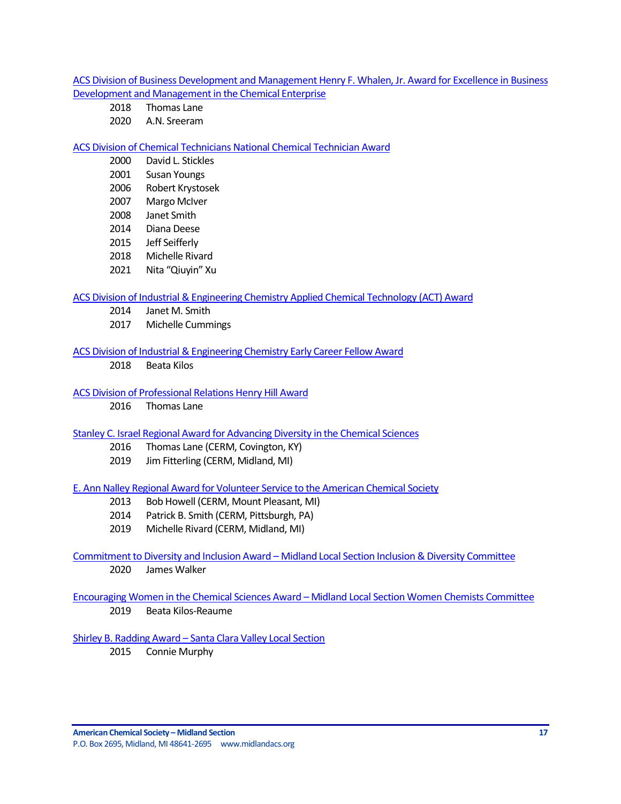[ACS Division of Business Development and Management Henry F. Whalen, Jr. Award for Excellence in Business](http://bmgt.org/awards.html)  [Development and Management in the Chemical Enterprise](http://bmgt.org/awards.html)

- Thomas Lane
- A.N. Sreeram

### [ACS Division of Chemical Technicians National Chemical Technician Award](https://www.acs.org/content/acs/en/funding-and-awards/awards/division/technicians/national-chemical-technician-award.html)

- David L. Stickles
- Susan Youngs
- Robert Krystosek
- Margo McIver
- Janet Smith
- Diana Deese
- Jeff Seifferly
- Michelle Rivard
- Nita "Qiuyin" Xu

## [ACS Division of Industrial & Engineering Chemistry Applied Chemical Technology \(ACT\) Award](http://iecdivision.sites.acs.org/)

- Janet M. Smith
- Michelle Cummings

## [ACS Division of Industrial & Engineering Chemistry Early Career Fellow Award](http://iecdivision.sites.acs.org/)

Beata Kilos

## [ACS Division of Professional Relations Henry Hill Award](https://www.acs.org/content/acs/en/funding-and-awards/awards/division/professionalrelations/prof-henry-hill-award.html)

Thomas Lane

#### [Stanley C. Israel Regional Award for Advancing Diversity in the Chemical Sciences](https://www.acs.org/content/acs/en/funding-and-awards/awards/other/diversity/stan-israel-award.html?_ga=1.122460559.525249293.1483657158)

- 2016 Thomas Lane (CERM, Covington, KY)
- Jim Fitterling (CERM, Midland, MI)

#### [E. Ann Nalley Regional Award for Volunteer Service to the American Chemical Society](https://www.acs.org/content/acs/en/funding-and-awards/awards/regional/e-ann-nalley-regional-award-for-volunteer-service-to-the-american-chemical-society.html?_ga=1.58725929.525249293.1483657158)

- Bob Howell (CERM, Mount Pleasant, MI)
- Patrick B. Smith (CERM, Pittsburgh, PA)
- Michelle Rivard (CERM, Midland, MI)

#### Commitment to Diversity and Inclusion Award – Midland Local Section Inclusion & Diversity Committee James Walker

# Encouraging Women in the Chemical Sciences Award – Midland Local Section Women Chemists Committee Beata Kilos-Reaume

## Shirley B. Radding Award – [Santa Clara Valley Local Section](https://www.acs.org/content/acs/en/funding-and-awards/awards/acs-local-section-awards/awards-santa-clara-valley/santa-clara-shirley-b-radding-award.html)

Connie Murphy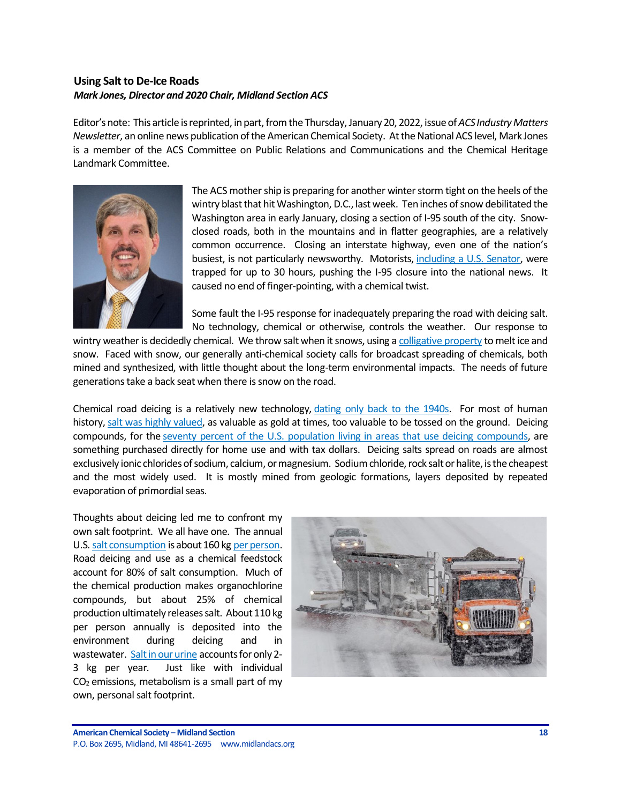# <span id="page-17-0"></span>**Using Salt to De-Ice Roads** *Mark Jones, Director and 2020 Chair, Midland Section ACS*

Editor's note: This article is reprinted, in part,from the Thursday, January 20, 2022, issue of *ACS Industry Matters Newsletter*, an online news publication of the American Chemical Society. At the National ACS level, Mark Jones is a member of the ACS Committee on Public Relations and Communications and the Chemical Heritage Landmark Committee.



The ACS mother ship is preparing for another winter storm tight on the heels of the wintry blast that hit Washington, D.C., last week. Ten inches of snow debilitated the Washington area in early January, closing a section of I-95 south of the city. Snowclosed roads, both in the mountains and in flatter geographies, are a relatively common occurrence. Closing an interstate highway, even one of the nation's busiest, is not particularly newsworthy. Motorists, [including a U.S. Senator,](https://www.washingtonpost.com/dc-md-va/2022/01/04/tim-kaine-i95-stranded-snow/) were trapped for up to 30 hours, pushing the I-95 closure into the national news. It caused no end of finger-pointing, with a chemical twist.

Some fault the I-95 response for inadequately preparing the road with deicing salt. No technology, chemical or otherwise, controls the weather. Our response to

wintry weather is decidedly chemical. We throw salt when it snows, using a [colligative property](https://en.wikipedia.org/wiki/Colligative_properties) to melt ice and snow. Faced with snow, our generally anti-chemical society calls for broadcast spreading of chemicals, both mined and synthesized, with little thought about the long-term environmental impacts. The needs of future generations take a back seat when there is snow on the road.

Chemical road deicing is a relatively new technology, [dating only back to the 1940s.](https://storymaps.arcgis.com/stories/d459b1501ada4c01a2530e217de4a62b) For most of human history[,salt was highly valued,](https://www.worldhistory.org/article/1342/the-salt-trade-of-ancient-west-africa/) as valuable as gold at times, too valuable to be tossed on the ground. Deicing compounds, for the [seventy percent of the U.S. population living in areas that use deicing compounds,](https://esajournals.onlinelibrary.wiley.com/doi/10.1002/fee.2433) are something purchased directly for home use and with tax dollars. Deicing salts spread on roads are almost exclusively ionic chlorides of sodium, calcium, or magnesium. Sodium chloride, rock salt or halite, is the cheapest and the most widely used. It is mostly mined from geologic formations, layers deposited by repeated evaporation of primordial seas.

Thoughts about deicing led me to confront my own salt footprint. We all have one. The annual U.S. [salt consumption](https://pubs.usgs.gov/periodicals/mcs2021/mcs2021-salt.pdf) is about 160 kg [per person.](https://www.census.gov/popclock/) Road deicing and use as a chemical feedstock account for 80% of salt consumption. Much of the chemical production makes organochlorine compounds, but about 25% of chemical production ultimately releases salt. About 110 kg per person annually is deposited into the environment during deicing and in wastewater. [Salt in our urine](https://www.fda.gov/food/nutrition-education-resources-materials/sodium-your-diet) accounts for only 2- 3 kg per year. Just like with individual CO<sup>2</sup> emissions, metabolism is a small part of my own, personal salt footprint.

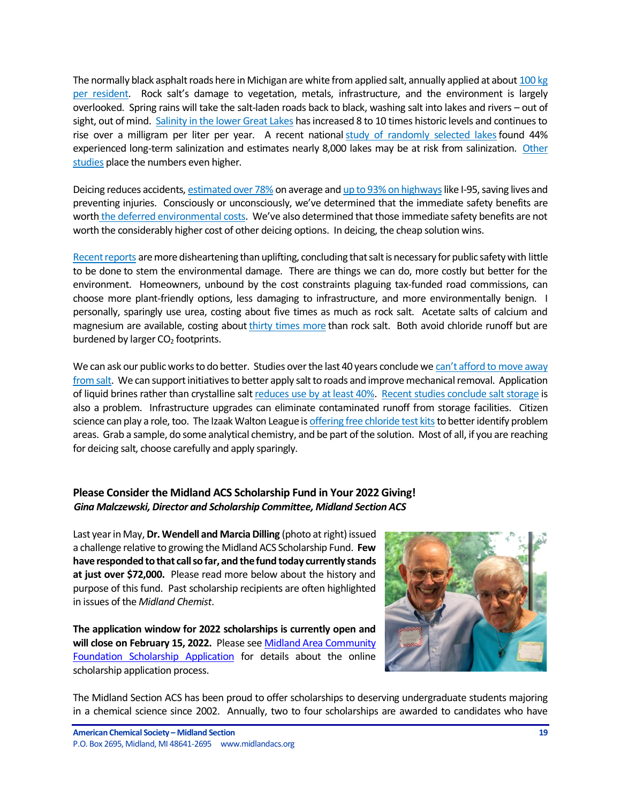The normally black asphalt roads here in Michigan are white from applied salt, annually applied at about [100 kg](https://issuu.com/micountyroads/docs/crossroads_fall_2017/8)  [per resident.](https://issuu.com/micountyroads/docs/crossroads_fall_2017/8) Rock salt's damage to vegetation, metals, infrastructure, and the environment is largely overlooked. Spring rains will take the salt-laden roads back to black, washing salt into lakes and rivers – out of sight, out of mind. [Salinity in the lower Great Lakes](https://aslopubs.onlinelibrary.wiley.com/doi/full/10.1002/lol2.10228) has increased 8 to 10 times historic levels and continues to rise over a milligram per liter per year. A recent national study of randomly selected lakes found 44% experienced long-term salinization and estimates nearly 8,000 lakes may be at risk from salinization. Other [studies](https://www.usgs.gov/centers/upper-midwest-water-science-center/science/evaluating-chloride-trends-due-road-salt-use-and) place the numbers even higher.

Deicing reduces accidents, [estimated over 78%](https://esajournals.onlinelibrary.wiley.com/doi/10.1002/fee.2433) on average and [up to 93% on highwaysl](https://www.highways.org/wp-content/uploads/2014/01/Deicing-Salt-Study-FINAL.pdf)ike I-95, saving lives and preventing injuries. Consciously or unconsciously, we've determined that the immediate safety benefits are worth [the deferred environmental costs.](https://www.protectadks.org/wp-content/uploads/2010/12/Road_Deicing-1.pdf) We've also determined that those immediate safety benefits are not worth the considerably higher cost of other deicing options. In deicing, the cheap solution wins.

[Recent reports](https://clearroads.org/wp-content/uploads/dlm_uploads/FR_CR.18-05.pdf) are more disheartening than uplifting, concluding thatsalt is necessary for public safety with little to be done to stem the environmental damage. There are things we can do, more costly but better for the environment. Homeowners, unbound by the cost constraints plaguing tax-funded road commissions, can choose more plant-friendly options, less damaging to infrastructure, and more environmentally benign. I personally, sparingly use urea, costing about five times as much as rock salt. Acetate salts of calcium and magnesium are available, costing about [thirty times more](https://www.michiganradio.org/environment-climate-change/2021-11-07/michigan-expands-testing-of-salt-water-to-clear-winter-highways) than rock salt. Both avoid chloride runoff but are burdened by larger  $CO<sub>2</sub>$  footprints.

We can ask our public works to do better. Studies over the last 40 years conclude we can't afford to move away [from salt.](https://esajournals.onlinelibrary.wiley.com/doi/10.1002/fee.2433) We can support initiatives to better apply salt to roads and improve mechanical removal. Application of liquid brines rather than crystalline salt [reduces use by at least 40%.](https://www.michiganradio.org/environment-climate-change/2021-11-07/michigan-expands-testing-of-salt-water-to-clear-winter-highways) [Recent studies conclude salt storage](https://esajournals.onlinelibrary.wiley.com/doi/10.1002/fee.2433) is also a problem. Infrastructure upgrades can eliminate contaminated runoff from storage facilities. Citizen science can play a role, too. The Izaak Walton League is offering free chloride test kits to better identify problem areas. Grab a sample, do some analytical chemistry, and be part of the solution. Most of all, if you are reaching for deicing salt, choose carefully and apply sparingly.

# <span id="page-18-0"></span>**Please Consider the Midland ACS Scholarship Fund in Your 2022 Giving!** *Gina Malczewski, Director and Scholarship Committee, Midland Section ACS*

Last year in May, **Dr. Wendell and Marcia Dilling** (photo at right) issued a challenge relative to growing the Midland ACS Scholarship Fund. **Few have responded to that call so far, and the fund today currently stands at just over \$72,000.** Please read more below about the history and purpose of this fund. Past scholarship recipients are often highlighted in issues of the *Midland Chemist*.

**The application window for 2022 scholarships is currently open and will close on February 15, 2022.** Please se[e Midland Area Community](https://www.midlandfoundation.org/scholarships/)  [Foundation Scholarship Application](https://www.midlandfoundation.org/scholarships/) for details about the online scholarship application process.



The Midland Section ACS has been proud to offer scholarships to deserving undergraduate students majoring in a chemical science since 2002. Annually, two to four scholarships are awarded to candidates who have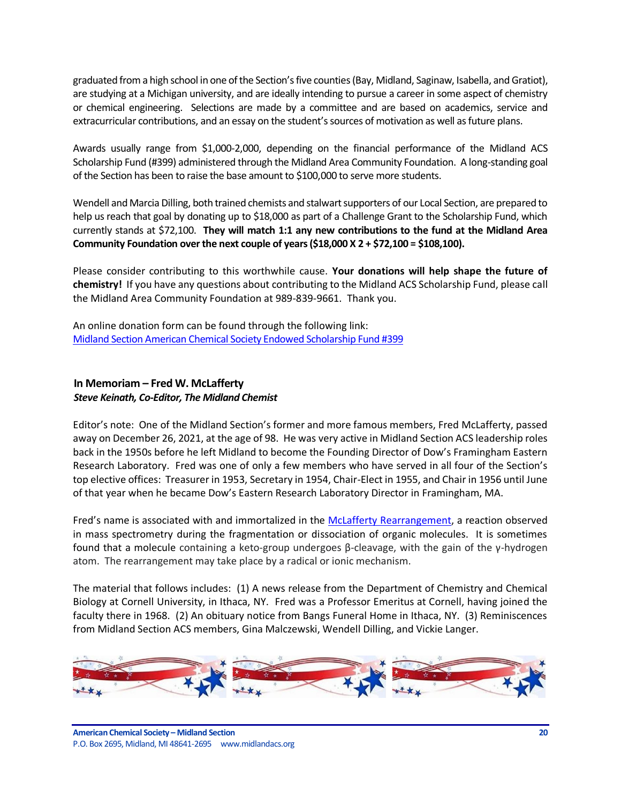graduated from a high school in one of the Section's five counties (Bay, Midland, Saginaw, Isabella, and Gratiot), are studying at a Michigan university, and are ideally intending to pursue a career in some aspect of chemistry or chemical engineering. Selections are made by a committee and are based on academics, service and extracurricular contributions, and an essay on the student's sources of motivation as well as future plans.

Awards usually range from \$1,000-2,000, depending on the financial performance of the Midland ACS Scholarship Fund (#399) administered through the Midland Area Community Foundation. A long-standing goal of the Section has been to raise the base amount to \$100,000 to serve more students.

Wendell and Marcia Dilling, both trained chemists and stalwart supporters of our Local Section, are prepared to help us reach that goal by donating up to \$18,000 as part of a Challenge Grant to the Scholarship Fund, which currently stands at \$72,100. **They will match 1:1 any new contributions to the fund at the Midland Area Community Foundation over the next couple of years (\$18,000 X 2 + \$72,100 = \$108,100).**

Please consider contributing to this worthwhile cause. **Your donations will help shape the future of chemistry!** If you have any questions about contributing to the Midland ACS Scholarship Fund, please call the Midland Area Community Foundation at 989-839-9661. Thank you.

An online donation form can be found through the following link: [Midland Section American Chemical Society Endowed Scholarship Fund #399](https://www.midlandfoundation.org/fund/midland-section-american-chemical-society-endowed-scholarship-fund-399/)

## <span id="page-19-0"></span>**In Memoriam – Fred W. McLafferty** *Steve Keinath, Co-Editor, The Midland Chemist*

Editor's note: One of the Midland Section's former and more famous members, Fred McLafferty, passed away on December 26, 2021, at the age of 98. He was very active in Midland Section ACS leadership roles back in the 1950s before he left Midland to become the Founding Director of Dow's Framingham Eastern Research Laboratory. Fred was one of only a few members who have served in all four of the Section's top elective offices: Treasurer in 1953, Secretary in 1954, Chair-Elect in 1955, and Chair in 1956 until June of that year when he became Dow's Eastern Research Laboratory Director in Framingham, MA.

Fred's name is associated with and immortalized in the [McLafferty Rearrangement,](https://en.wikipedia.org/wiki/McLafferty_rearrangement#:~:text=The%20McLafferty%20rearrangement%20is%20a,or%20dissociation%20of%20organic%20molecules.) a reaction observed in mass spectrometry during the fragmentation or dissociation of organic molecules. It is sometimes found that a molecule containing a keto-group undergoes β-cleavage, with the gain of the γ-hydrogen atom. The rearrangement may take place by a radical or ionic mechanism.

The material that follows includes: (1) A news release from the Department of Chemistry and Chemical Biology at Cornell University, in Ithaca, NY. Fred was a Professor Emeritus at Cornell, having joined the faculty there in 1968. (2) An obituary notice from Bangs Funeral Home in Ithaca, NY. (3) Reminiscences from Midland Section ACS members, Gina Malczewski, Wendell Dilling, and Vickie Langer.

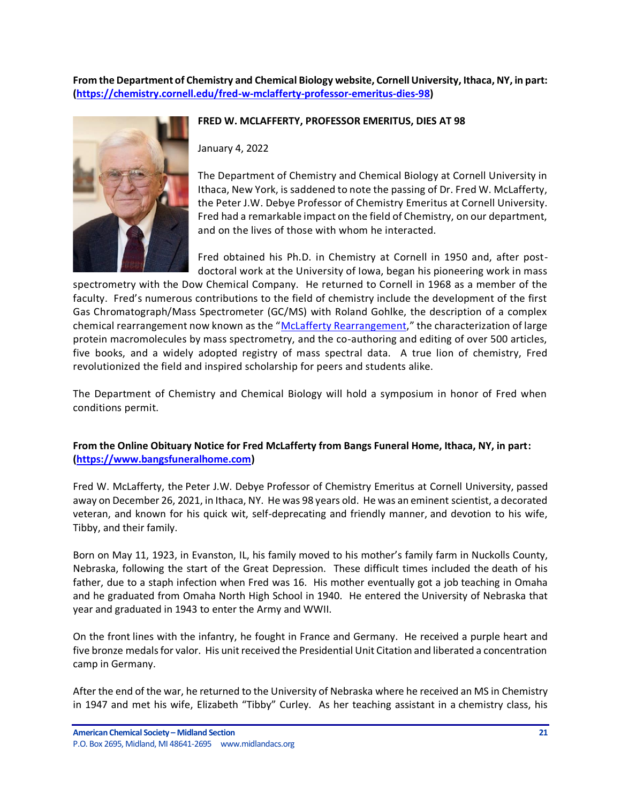**From the Department of Chemistry and Chemical Biology website, Cornell University, Ithaca, NY, in part: [\(https://chemistry.cornell.edu/fred-w-mclafferty-professor-emeritus-dies-98\)](https://chemistry.cornell.edu/fred-w-mclafferty-professor-emeritus-dies-98)**



## **FRED W. MCLAFFERTY, PROFESSOR EMERITUS, DIES AT 98**

January 4, 2022

The Department of Chemistry and Chemical Biology at Cornell University in Ithaca, New York, is saddened to note the passing of Dr. Fred W. McLafferty, the Peter J.W. Debye Professor of Chemistry Emeritus at Cornell University. Fred had a remarkable impact on the field of Chemistry, on our department, and on the lives of those with whom he interacted.

Fred obtained his Ph.D. in Chemistry at Cornell in 1950 and, after postdoctoral work at the University of Iowa, began his pioneering work in mass

spectrometry with the Dow Chemical Company. He returned to Cornell in 1968 as a member of the faculty. Fred's numerous contributions to the field of chemistry include the development of the first Gas Chromatograph/Mass Spectrometer (GC/MS) with Roland Gohlke, the description of a complex chemical rearrangement now known as the "[McLafferty Rearrangement](https://en.wikipedia.org/wiki/McLafferty_rearrangement#:~:text=The%20McLafferty%20rearrangement%20is%20a,or%20dissociation%20of%20organic%20molecules.)," the characterization of large protein macromolecules by mass spectrometry, and the co-authoring and editing of over 500 articles, five books, and a widely adopted registry of mass spectral data. A true lion of chemistry, Fred revolutionized the field and inspired scholarship for peers and students alike.

The Department of Chemistry and Chemical Biology will hold a symposium in honor of Fred when conditions permit.

**From the Online Obituary Notice for Fred McLafferty from Bangs Funeral Home, Ithaca, NY, in part: [\(https://www.bangsfuneralhome.com\)](https://www.bangsfuneralhome.com/)**

Fred W. McLafferty, the Peter J.W. Debye Professor of Chemistry Emeritus at Cornell University, passed away on December 26, 2021, in Ithaca, NY. He was 98 years old. He was an eminent scientist, a decorated veteran, and known for his quick wit, self-deprecating and friendly manner, and devotion to his wife, Tibby, and their family.

Born on May 11, 1923, in Evanston, IL, his family moved to his mother's family farm in Nuckolls County, Nebraska, following the start of the Great Depression. These difficult times included the death of his father, due to a staph infection when Fred was 16. His mother eventually got a job teaching in Omaha and he graduated from Omaha North High School in 1940. He entered the University of Nebraska that year and graduated in 1943 to enter the Army and WWII.

On the front lines with the infantry, he fought in France and Germany. He received a purple heart and five bronze medals for valor. His unit received the Presidential Unit Citation and liberated a concentration camp in Germany.

After the end of the war, he returned to the University of Nebraska where he received an MS in Chemistry in 1947 and met his wife, Elizabeth "Tibby" Curley. As her teaching assistant in a chemistry class, his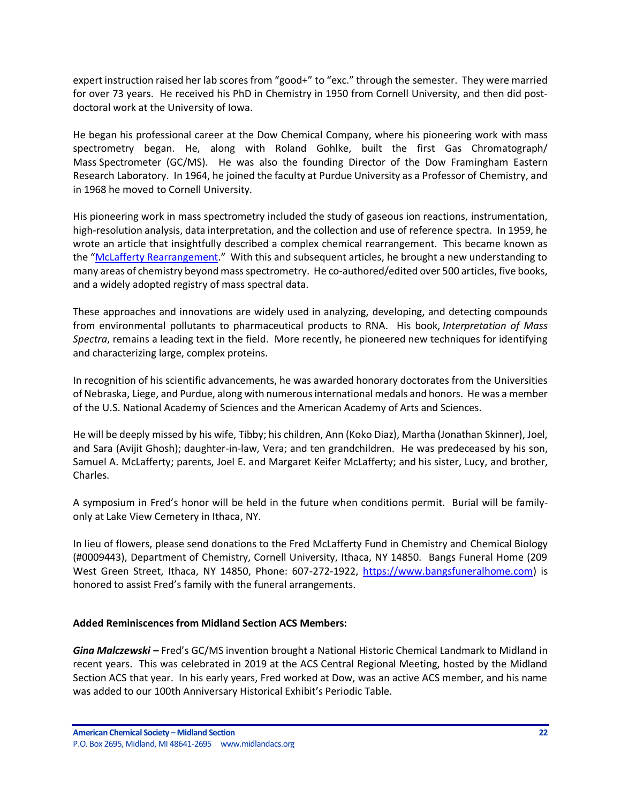expert instruction raised her lab scores from "good+" to "exc." through the semester. They were married for over 73 years. He received his PhD in Chemistry in 1950 from Cornell University, and then did postdoctoral work at the University of Iowa.

He began his professional career at the Dow Chemical Company, where his pioneering work with mass spectrometry began. He, along with Roland Gohlke, built the first Gas Chromatograph/ Mass Spectrometer (GC/MS). He was also the founding Director of the Dow Framingham Eastern Research Laboratory. In 1964, he joined the faculty at Purdue University as a Professor of Chemistry, and in 1968 he moved to Cornell University.

His pioneering work in mass spectrometry included the study of gaseous ion reactions, instrumentation, high-resolution analysis, data interpretation, and the collection and use of reference spectra. In 1959, he wrote an article that insightfully described a complex chemical rearrangement. This became known as the "[McLafferty Rearrangement](https://en.wikipedia.org/wiki/McLafferty_rearrangement#:~:text=The%20McLafferty%20rearrangement%20is%20a,or%20dissociation%20of%20organic%20molecules.)." With this and subsequent articles, he brought a new understanding to many areas of chemistry beyond mass spectrometry. He co-authored/edited over 500 articles, five books, and a widely adopted registry of mass spectral data.

These approaches and innovations are widely used in analyzing, developing, and detecting compounds from environmental pollutants to pharmaceutical products to RNA. His book, *Interpretation of Mass Spectra*, remains a leading text in the field. More recently, he pioneered new techniques for identifying and characterizing large, complex proteins.

In recognition of his scientific advancements, he was awarded honorary doctorates from the Universities of Nebraska, Liege, and Purdue, along with numerous international medals and honors. He was a member of the U.S. National Academy of Sciences and the American Academy of Arts and Sciences.

He will be deeply missed by his wife, Tibby; his children, Ann (Koko Diaz), Martha (Jonathan Skinner), Joel, and Sara (Avijit Ghosh); daughter-in-law, Vera; and ten grandchildren. He was predeceased by his son, Samuel A. McLafferty; parents, Joel E. and Margaret Keifer McLafferty; and his sister, Lucy, and brother, Charles.

A symposium in Fred's honor will be held in the future when conditions permit. Burial will be familyonly at Lake View Cemetery in Ithaca, NY.

In lieu of flowers, please send donations to the Fred McLafferty Fund in Chemistry and Chemical Biology (#0009443), Department of Chemistry, Cornell University, Ithaca, NY 14850. Bangs Funeral Home (209 West Green Street, Ithaca, NY 14850, Phone: 607-272-1922, [https://www.bangsfuneralhome.com\)](https://www.bangsfuneralhome.com/) is honored to assist Fred's family with the funeral arrangements.

## **Added Reminiscences from Midland Section ACS Members:**

*Gina Malczewski –* Fred's GC/MS invention brought a National Historic Chemical Landmark to Midland in recent years. This was celebrated in 2019 at the ACS Central Regional Meeting, hosted by the Midland Section ACS that year. In his early years, Fred worked at Dow, was an active ACS member, and his name was added to our 100th Anniversary Historical Exhibit's Periodic Table.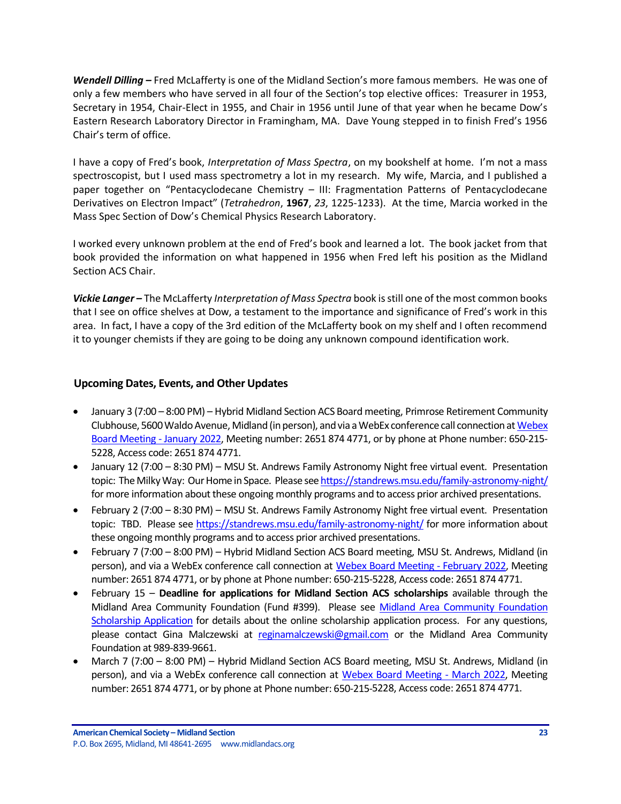*Wendell Dilling –* Fred McLafferty is one of the Midland Section's more famous members. He was one of only a few members who have served in all four of the Section's top elective offices: Treasurer in 1953, Secretary in 1954, Chair-Elect in 1955, and Chair in 1956 until June of that year when he became Dow's Eastern Research Laboratory Director in Framingham, MA. Dave Young stepped in to finish Fred's 1956 Chair's term of office.

I have a copy of Fred's book, *Interpretation of Mass Spectra*, on my bookshelf at home. I'm not a mass spectroscopist, but I used mass spectrometry a lot in my research. My wife, Marcia, and I published a paper together on "Pentacyclodecane Chemistry – III: Fragmentation Patterns of Pentacyclodecane Derivatives on Electron Impact" (*Tetrahedron*, **1967**, *23*, 1225-1233). At the time, Marcia worked in the Mass Spec Section of Dow's Chemical Physics Research Laboratory.

I worked every unknown problem at the end of Fred's book and learned a lot. The book jacket from that book provided the information on what happened in 1956 when Fred left his position as the Midland Section ACS Chair.

*Vickie Langer –* The McLafferty *Interpretation of Mass Spectra* book is still one of the most common books that I see on office shelves at Dow, a testament to the importance and significance of Fred's work in this area. In fact, I have a copy of the 3rd edition of the McLafferty book on my shelf and I often recommend it to younger chemists if they are going to be doing any unknown compound identification work.

# <span id="page-22-0"></span>**Upcoming Dates, Events, and Other Updates**

- January 3 (7:00 8:00 PM) Hybrid Midland Section ACS Board meeting, Primrose Retirement Community Clubhouse, 5600 Waldo Avenue, Midland (in person), andvia a WebEx conference call connection a[t Webex](https://midlandacs1.my.webex.com/join/webex1)  [Board Meeting -](https://midlandacs1.my.webex.com/join/webex1) January 2022, Meeting number: 2651 874 4771, or by phone at Phone number: 650-215- 5228, Access code: 2651 874 4771.
- January 12 (7:00 8:30 PM) MSU St. Andrews Family Astronomy Night free virtual event. Presentation topic: The Milky Way: Our Home in Space. Please se[e https://standrews.msu.edu/family-astronomy-night/](https://standrews.msu.edu/family-astronomy-night/) for more information about these ongoing monthly programs and to access prior archived presentations.
- February 2 (7:00 8:30 PM) MSU St. Andrews Family Astronomy Night free virtual event. Presentation topic: TBD. Please see https://standrews.msu.edu/family-astronomy-night/ for more information about these ongoing monthly programs [and to access prior archived presentations.](https://standrews.msu.edu/family-astronomy-night/)
- February 7 (7:00 8:00 PM) Hybrid Midland Section ACS Board meeting, MSU St. Andrews, Midland (in person), and via a WebEx conference call connection at Webex Board Meeting - February 2022, Meeting number: 2651 874 4771, or by phone at Phone number: [650-215-5228, Access code: 2651 874 47](https://midlandacs1.my.webex.com/join/webex1)71.
- February 15 **Deadline for applications for Midland Section ACS scholarships** available through the Midland Area Community Foundation (Fund #399). Please see Midland Area Community Foundation Scholarship Application for details about the online scholarship [application process. For any questions,](https://www.midlandfoundation.org/scholarships/)  [please contact Gina M](https://www.midlandfoundation.org/scholarships/)alczewski at [reginamalczewski@gmail.com](mailto:reginamalczewski@gmail.com) or the Midland Area Community Foundation at 989-839-9661.
- March 7 (7:00 8:00 PM) Hybrid Midland Section ACS Board meeting, MSU St. Andrews, Midland (in person), and via a WebEx conference call connection at Webex Board Meeting - March 2022, Meeting number: 2651 874 4771, or by phone at Phone number: 650-215-5228, Access code: 2651 874 4771.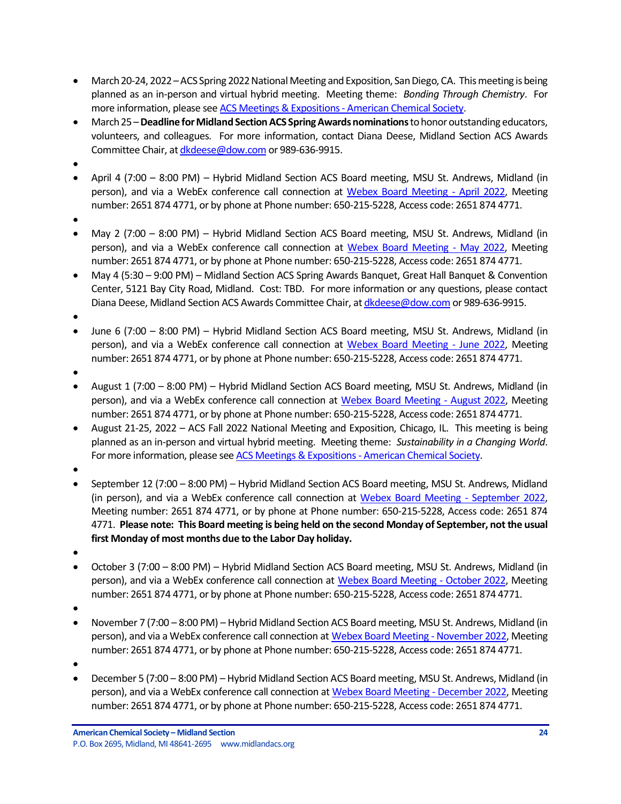- March 20-24, 2022 –ACS Spring 2022 National Meeting and Exposition, San Diego, CA. This meeting is being planned as an in-person and virtual hybrid meeting. Meeting theme: *Bonding Through Chemistry*. For more information, please see [ACS Meetings & Expositions -](https://www.acs.org/content/acs/en/meetings/acs-meetings.html) American Chemical Society.
- March 25 –**Deadline for Midland Section ACS Spring Awards nominations**to honor outstanding educators, volunteers, and colleagues. For more information, contact Diana Deese, Midland Section ACS Awards Committee Chair, a[t dkdeese@dow.com](mailto:dkdeese@dow.com) or 989-636-9915.
- •
- April 4 (7:00 8:00 PM) Hybrid Midland Section ACS Board meeting, MSU St. Andrews, Midland (in person), and via a WebEx conference call connection at [Webex Board Meeting -](https://midlandacs1.my.webex.com/join/webex1) April 2022, Meeting number: 2651 874 4771, or by phone at Phone number: 650-215-5228, Access code: 2651 874 4771.
- •
- May 2 (7:00 8:00 PM) Hybrid Midland Section ACS Board meeting, MSU St. Andrews, Midland (in person), and via a WebEx conference call connection at [Webex Board Meeting -](https://midlandacs1.my.webex.com/join/webex1) May 2022, Meeting number: 2651 874 4771, or by phone at Phone number: 650-215-5228, Access code: 2651 874 4771.
- May 4 (5:30 9:00 PM) Midland Section ACS Spring Awards Banquet, Great Hall Banquet & Convention Center, 5121 Bay City Road, Midland. Cost: TBD. For more information or any questions, please contact Diana Deese, Midland Section ACS Awards Committee Chair, a[t dkdeese@dow.com](mailto:dkdeese@dow.com) or 989-636-9915.

•

• June 6 (7:00 – 8:00 PM) – Hybrid Midland Section ACS Board meeting, MSU St. Andrews, Midland (in person), and via a WebEx conference call connection at [Webex Board Meeting -](https://midlandacs1.my.webex.com/join/webex1) June 2022, Meeting number: 2651 874 4771, or by phone at Phone number: 650-215-5228, Access code: 2651 874 4771.

•

- August 1 (7:00 8:00 PM) Hybrid Midland Section ACS Board meeting, MSU St. Andrews, Midland (in person), and via a WebEx conference call connection at [Webex Board Meeting -](https://midlandacs1.my.webex.com/join/webex1) August 2022, Meeting number: 2651 874 4771, or by phone at Phone number: 650-215-5228, Access code: 2651 874 4771.
- August 21-25, 2022 ACS Fall 2022 National Meeting and Exposition, Chicago, IL. This meeting is being planned as an in-person and virtual hybrid meeting. Meeting theme: *Sustainability in a Changing World*. For more information, please se[e ACS Meetings & Expositions -](https://www.acs.org/content/acs/en/meetings/acs-meetings/abstract-submission/call-for-abstracts.html?sc=220118_mtg_news_acsmters_SPR22_od) American Chemical Society.
- •
- September 12 (7:00 8:00 PM) Hybrid Midland Section ACS Board meeting, MSU St. Andrews, Midland (in person), and via a WebEx conference call connection at [Webex Board Meeting -](https://midlandacs1.my.webex.com/join/webex1) September 2022, Meeting number: 2651 874 4771, or by phone at Phone number: 650-215-5228, Access code: 2651 874 4771. **Please note: This Board meeting is being held on the second Monday of September, not the usual first Monday of most months due to the Labor Day holiday.**

•

- October 3 (7:00 8:00 PM) Hybrid Midland Section ACS Board meeting, MSU St. Andrews, Midland (in person), and via a WebEx conference call connection at [Webex Board Meeting -](https://midlandacs1.my.webex.com/join/webex1) October 2022, Meeting number: 2651 874 4771, or by phone at Phone number: 650-215-5228, Access code: 2651 874 4771.
- •
- November 7 (7:00 8:00 PM) Hybrid Midland Section ACS Board meeting, MSU St. Andrews, Midland (in person), and via a WebEx conference call connection at [Webex Board Meeting -](https://midlandacs1.my.webex.com/join/webex1) November 2022, Meeting number: 2651 874 4771, or by phone at Phone number: 650-215-5228, Access code: 2651 874 4771.
- •
- December 5 (7:00 8:00 PM) Hybrid Midland Section ACS Board meeting, MSU St. Andrews, Midland (in person), and via a WebEx conference call connection a[t Webex Board Meeting -](https://midlandacs1.my.webex.com/join/webex1) December 2022, Meeting number: 2651 874 4771, or by phone at Phone number: 650-215-5228, Access code: 2651 874 4771.